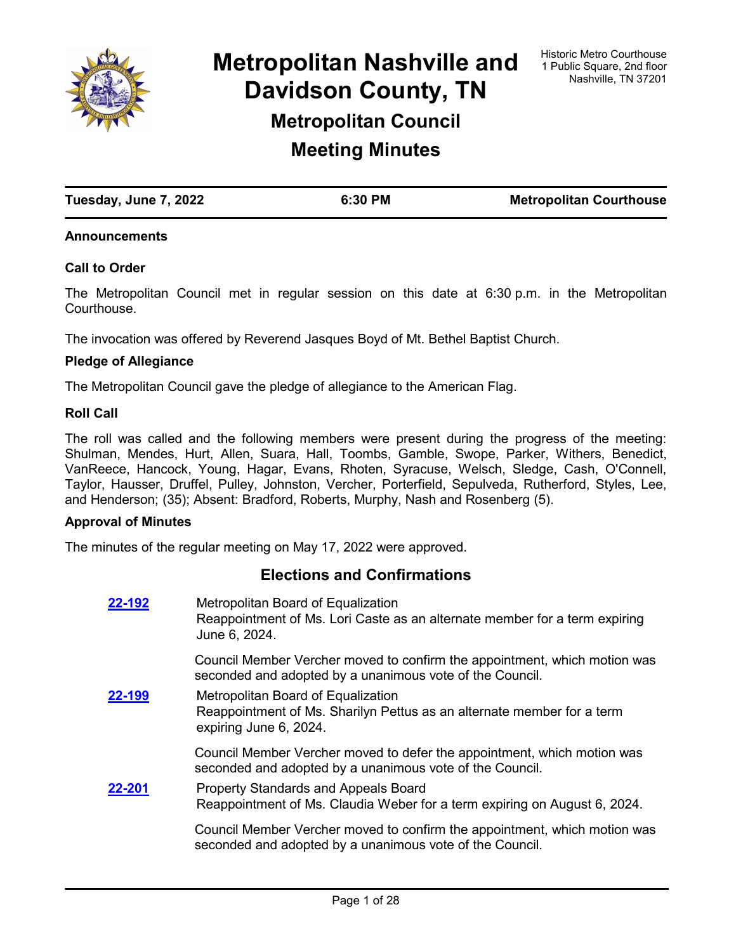

**Metropolitan Nashville and Davidson County, TN Metropolitan Council**

**Meeting Minutes**

| Tuesday, June 7, 2022 | 6:30 PM | <b>Metropolitan Courthouse</b> |
|-----------------------|---------|--------------------------------|
|                       |         |                                |

### **Announcements**

### **Call to Order**

The Metropolitan Council met in regular session on this date at 6:30 p.m. in the Metropolitan **Courthouse** 

The invocation was offered by Reverend Jasques Boyd of Mt. Bethel Baptist Church.

### **Pledge of Allegiance**

The Metropolitan Council gave the pledge of allegiance to the American Flag.

#### **Roll Call**

The roll was called and the following members were present during the progress of the meeting: Shulman, Mendes, Hurt, Allen, Suara, Hall, Toombs, Gamble, Swope, Parker, Withers, Benedict, VanReece, Hancock, Young, Hagar, Evans, Rhoten, Syracuse, Welsch, Sledge, Cash, O'Connell, Taylor, Hausser, Druffel, Pulley, Johnston, Vercher, Porterfield, Sepulveda, Rutherford, Styles, Lee, and Henderson; (35); Absent: Bradford, Roberts, Murphy, Nash and Rosenberg (5).

#### **Approval of Minutes**

The minutes of the regular meeting on May 17, 2022 were approved.

## **Elections and Confirmations**

| 22-192 | Metropolitan Board of Equalization<br>Reappointment of Ms. Lori Caste as an alternate member for a term expiring<br>June 6, 2024.      |
|--------|----------------------------------------------------------------------------------------------------------------------------------------|
|        | Council Member Vercher moved to confirm the appointment, which motion was<br>seconded and adopted by a unanimous vote of the Council.  |
| 22-199 | Metropolitan Board of Equalization<br>Reappointment of Ms. Sharilyn Pettus as an alternate member for a term<br>expiring June 6, 2024. |
|        | Council Member Vercher moved to defer the appointment, which motion was<br>seconded and adopted by a unanimous vote of the Council.    |
| 22-201 | <b>Property Standards and Appeals Board</b><br>Reappointment of Ms. Claudia Weber for a term expiring on August 6, 2024.               |
|        | Council Member Vercher moved to confirm the appointment, which motion was<br>seconded and adopted by a unanimous vote of the Council.  |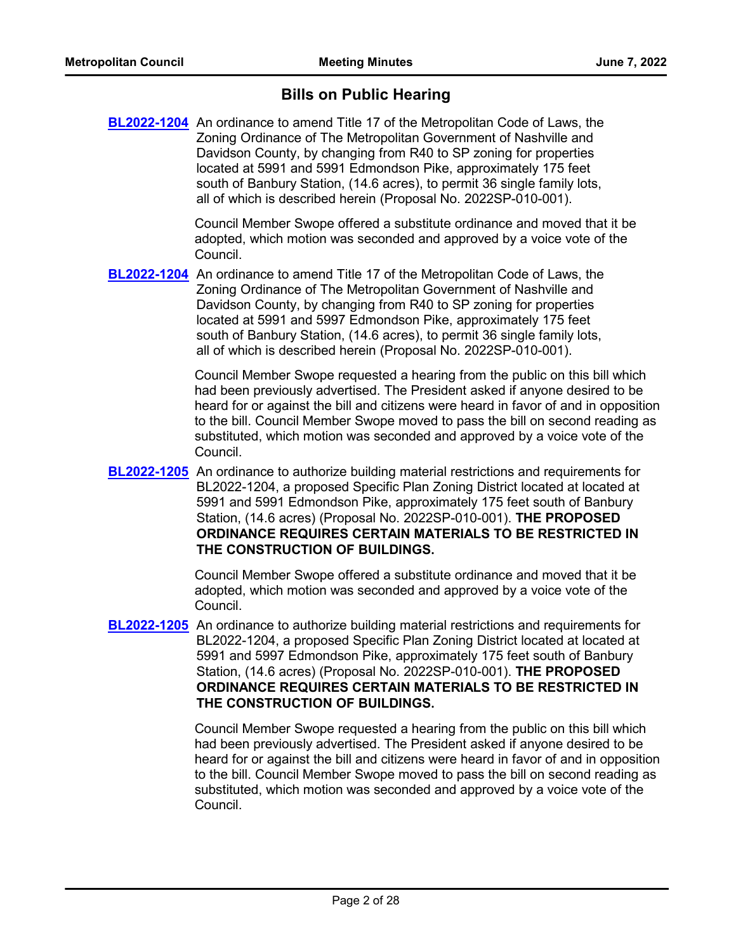## **Bills on Public Hearing**

**[BL2022-1204](http://nashville.legistar.com/gateway.aspx?m=l&id=/matter.aspx?key=14306)** An ordinance to amend Title 17 of the Metropolitan Code of Laws, the Zoning Ordinance of The Metropolitan Government of Nashville and Davidson County, by changing from R40 to SP zoning for properties located at 5991 and 5991 Edmondson Pike, approximately 175 feet south of Banbury Station, (14.6 acres), to permit 36 single family lots, all of which is described herein (Proposal No. 2022SP-010-001).

> Council Member Swope offered a substitute ordinance and moved that it be adopted, which motion was seconded and approved by a voice vote of the Council.

[BL2022-1204](http://nashville.legistar.com/gateway.aspx?m=l&id=/matter.aspx?key=14306) An ordinance to amend Title 17 of the Metropolitan Code of Laws, the Zoning Ordinance of The Metropolitan Government of Nashville and Davidson County, by changing from R40 to SP zoning for properties located at 5991 and 5997 Edmondson Pike, approximately 175 feet south of Banbury Station, (14.6 acres), to permit 36 single family lots, all of which is described herein (Proposal No. 2022SP-010-001).

> Council Member Swope requested a hearing from the public on this bill which had been previously advertised. The President asked if anyone desired to be heard for or against the bill and citizens were heard in favor of and in opposition to the bill. Council Member Swope moved to pass the bill on second reading as substituted, which motion was seconded and approved by a voice vote of the Council.

**[BL2022-1205](http://nashville.legistar.com/gateway.aspx?m=l&id=/matter.aspx?key=14307)** An ordinance to authorize building material restrictions and requirements for BL2022-1204, a proposed Specific Plan Zoning District located at located at 5991 and 5991 Edmondson Pike, approximately 175 feet south of Banbury Station, (14.6 acres) (Proposal No. 2022SP-010-001). **THE PROPOSED ORDINANCE REQUIRES CERTAIN MATERIALS TO BE RESTRICTED IN THE CONSTRUCTION OF BUILDINGS.**

> Council Member Swope offered a substitute ordinance and moved that it be adopted, which motion was seconded and approved by a voice vote of the Council.

**[BL2022-1205](http://nashville.legistar.com/gateway.aspx?m=l&id=/matter.aspx?key=14307)** An ordinance to authorize building material restrictions and requirements for BL2022-1204, a proposed Specific Plan Zoning District located at located at 5991 and 5997 Edmondson Pike, approximately 175 feet south of Banbury Station, (14.6 acres) (Proposal No. 2022SP-010-001). **THE PROPOSED ORDINANCE REQUIRES CERTAIN MATERIALS TO BE RESTRICTED IN THE CONSTRUCTION OF BUILDINGS.**

> Council Member Swope requested a hearing from the public on this bill which had been previously advertised. The President asked if anyone desired to be heard for or against the bill and citizens were heard in favor of and in opposition to the bill. Council Member Swope moved to pass the bill on second reading as substituted, which motion was seconded and approved by a voice vote of the Council.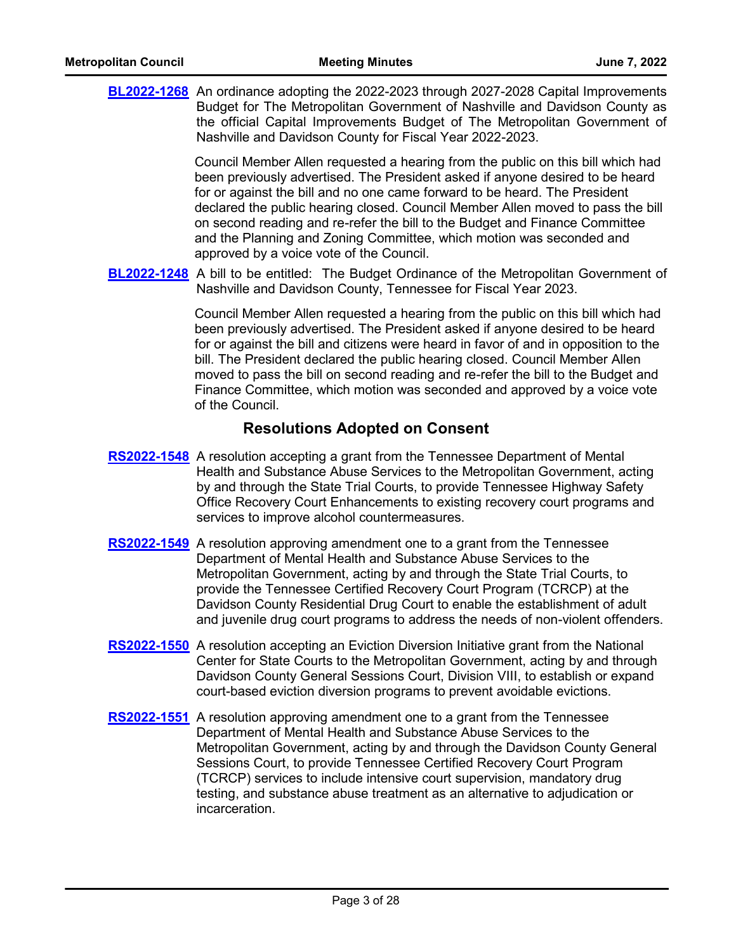| <b>BL2022-1268</b> An ordinance adopting the 2022-2023 through 2027-2028 Capital Improvements                                                                                                                                                                                                                                                                                                                                                                                                                                        |
|--------------------------------------------------------------------------------------------------------------------------------------------------------------------------------------------------------------------------------------------------------------------------------------------------------------------------------------------------------------------------------------------------------------------------------------------------------------------------------------------------------------------------------------|
| Budget for The Metropolitan Government of Nashville and Davidson County as<br>the official Capital Improvements Budget of The Metropolitan Government of<br>Nashville and Davidson County for Fiscal Year 2022-2023.                                                                                                                                                                                                                                                                                                                 |
| Council Member Allen requested a hearing from the public on this bill which had<br>been previously advertised. The President asked if anyone desired to be heard<br>for or against the bill and no one came forward to be heard. The President<br>declared the public hearing closed. Council Member Allen moved to pass the bill<br>on second reading and re-refer the bill to the Budget and Finance Committee<br>and the Planning and Zoning Committee, which motion was seconded and<br>approved by a voice vote of the Council. |
| <b>BL2022-1248</b> A bill to be entitled: The Budget Ordinance of the Metropolitan Government of<br>Nashville and Davidson County, Tennessee for Fiscal Year 2023.                                                                                                                                                                                                                                                                                                                                                                   |
| Council Member Allen requested a hearing from the public on this bill which had<br>been previously advertised. The President asked if anyone desired to be heard<br>for or against the bill and citizens were heard in favor of and in opposition to the<br>bill. The President declared the public hearing closed. Council Member Allen<br>moved to pass the bill on second reading and re-refer the bill to the Budget and<br>Finance Committee, which motion was seconded and approved by a voice vote<br>of the Council.         |
| <b>Resolutions Adopted on Consent</b>                                                                                                                                                                                                                                                                                                                                                                                                                                                                                                |
| <b>RS2022-1548</b> A resolution accepting a grant from the Tennessee Department of Mental<br>Health and Substance Abuse Services to the Metropolitan Government, acting<br>by and through the State Trial Courts, to provide Tennessee Highway Safety<br>Office Recovery Court Enhancements to existing recovery court programs and<br>services to improve alcohol countermeasures.                                                                                                                                                  |
| <b>RS2022-1549</b> A resolution approving amendment one to a grant from the Tennessee<br>Department of Mental Health and Substance Abuse Services to the<br>Metropolitan Government, acting by and through the State Trial Courts, to<br>provide the Tennessee Certified Recovery Court Program (TCRCP) at the<br>Davidson County Residential Drug Court to enable the establishment of adult<br>and juvenile drug court programs to address the needs of non-violent offenders.                                                     |
| RS2022-1550 A resolution accepting an Eviction Diversion Initiative grant from the National<br>Center for State Courts to the Metropolitan Government, acting by and through<br>Davidson County General Sessions Court, Division VIII, to establish or expand<br>court-based eviction diversion programs to prevent avoidable evictions.                                                                                                                                                                                             |
| <b>RS2022-1551</b> A resolution approving amendment one to a grant from the Tennessee<br>Department of Mental Health and Substance Abuse Services to the<br>Metropolitan Government, acting by and through the Davidson County General<br>Sessions Court, to provide Tennessee Certified Recovery Court Program<br>(TCRCP) services to include intensive court supervision, mandatory drug<br>testing, and substance abuse treatment as an alternative to adjudication or<br>incarceration.                                          |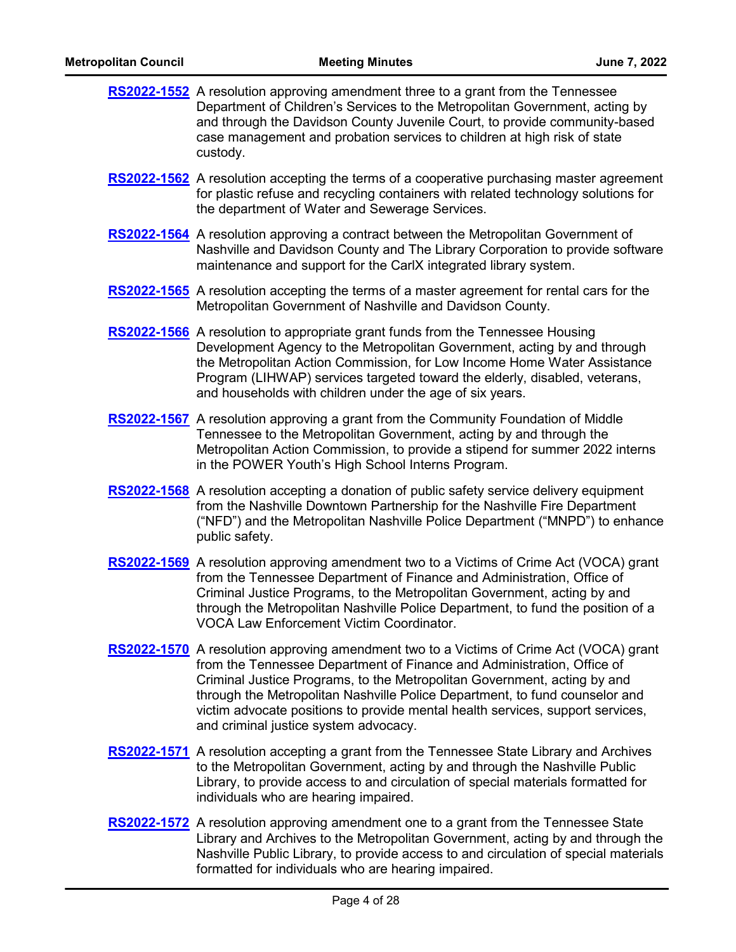| <b>Metropolitan Council</b> | <b>Meeting Minutes</b>                                                                                                                                                                                                                                                                                                                                                                                                                                         | June 7, 2022 |
|-----------------------------|----------------------------------------------------------------------------------------------------------------------------------------------------------------------------------------------------------------------------------------------------------------------------------------------------------------------------------------------------------------------------------------------------------------------------------------------------------------|--------------|
|                             | <b>RS2022-1552</b> A resolution approving amendment three to a grant from the Tennessee<br>Department of Children's Services to the Metropolitan Government, acting by<br>and through the Davidson County Juvenile Court, to provide community-based<br>case management and probation services to children at high risk of state<br>custody.                                                                                                                   |              |
|                             | <b>RS2022-1562</b> A resolution accepting the terms of a cooperative purchasing master agreement<br>for plastic refuse and recycling containers with related technology solutions for<br>the department of Water and Sewerage Services.                                                                                                                                                                                                                        |              |
|                             | <b>RS2022-1564</b> A resolution approving a contract between the Metropolitan Government of<br>Nashville and Davidson County and The Library Corporation to provide software<br>maintenance and support for the CarlX integrated library system.                                                                                                                                                                                                               |              |
|                             | <b>RS2022-1565</b> A resolution accepting the terms of a master agreement for rental cars for the<br>Metropolitan Government of Nashville and Davidson County.                                                                                                                                                                                                                                                                                                 |              |
|                             | <b>RS2022-1566</b> A resolution to appropriate grant funds from the Tennessee Housing<br>Development Agency to the Metropolitan Government, acting by and through<br>the Metropolitan Action Commission, for Low Income Home Water Assistance<br>Program (LIHWAP) services targeted toward the elderly, disabled, veterans,<br>and households with children under the age of six years.                                                                        |              |
|                             | RS2022-1567 A resolution approving a grant from the Community Foundation of Middle<br>Tennessee to the Metropolitan Government, acting by and through the<br>Metropolitan Action Commission, to provide a stipend for summer 2022 interns<br>in the POWER Youth's High School Interns Program.                                                                                                                                                                 |              |
|                             | <b>RS2022-1568</b> A resolution accepting a donation of public safety service delivery equipment<br>from the Nashville Downtown Partnership for the Nashville Fire Department<br>("NFD") and the Metropolitan Nashville Police Department ("MNPD") to enhance<br>public safety.                                                                                                                                                                                |              |
|                             | <b>RS2022-1569</b> A resolution approving amendment two to a Victims of Crime Act (VOCA) grant<br>from the Tennessee Department of Finance and Administration, Office of<br>Criminal Justice Programs, to the Metropolitan Government, acting by and<br>through the Metropolitan Nashville Police Department, to fund the position of a<br><b>VOCA Law Enforcement Victim Coordinator.</b>                                                                     |              |
|                             | <b>RS2022-1570</b> A resolution approving amendment two to a Victims of Crime Act (VOCA) grant<br>from the Tennessee Department of Finance and Administration, Office of<br>Criminal Justice Programs, to the Metropolitan Government, acting by and<br>through the Metropolitan Nashville Police Department, to fund counselor and<br>victim advocate positions to provide mental health services, support services,<br>and criminal justice system advocacy. |              |

- **[RS2022-1571](http://nashville.legistar.com/gateway.aspx?m=l&id=/matter.aspx?key=14542)** A resolution accepting a grant from the Tennessee State Library and Archives to the Metropolitan Government, acting by and through the Nashville Public Library, to provide access to and circulation of special materials formatted for individuals who are hearing impaired.
- [RS2022-1572](http://nashville.legistar.com/gateway.aspx?m=l&id=/matter.aspx?key=14543) A resolution approving amendment one to a grant from the Tennessee State Library and Archives to the Metropolitan Government, acting by and through the Nashville Public Library, to provide access to and circulation of special materials formatted for individuals who are hearing impaired.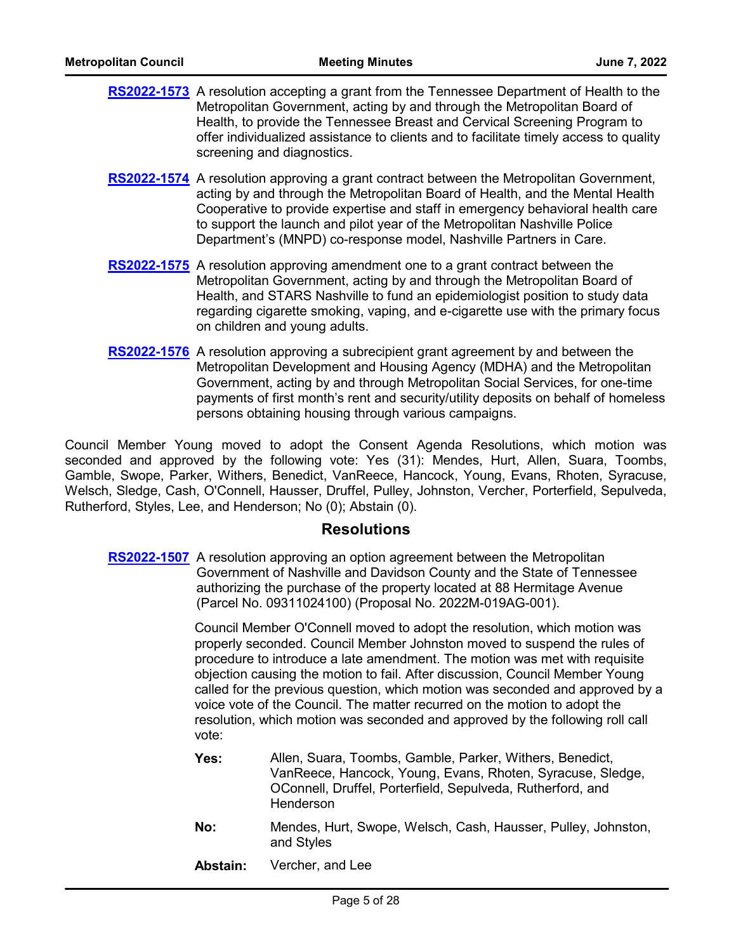- [RS2022-1573](http://nashville.legistar.com/gateway.aspx?m=l&id=/matter.aspx?key=14591) A resolution accepting a grant from the Tennessee Department of Health to the Metropolitan Government, acting by and through the Metropolitan Board of Health, to provide the Tennessee Breast and Cervical Screening Program to offer individualized assistance to clients and to facilitate timely access to quality screening and diagnostics.
- [RS2022-1574](http://nashville.legistar.com/gateway.aspx?m=l&id=/matter.aspx?key=14552) A resolution approving a grant contract between the Metropolitan Government, acting by and through the Metropolitan Board of Health, and the Mental Health Cooperative to provide expertise and staff in emergency behavioral health care to support the launch and pilot year of the Metropolitan Nashville Police Department's (MNPD) co-response model, Nashville Partners in Care.
- **[RS2022-1575](http://nashville.legistar.com/gateway.aspx?m=l&id=/matter.aspx?key=14613)** A resolution approving amendment one to a grant contract between the Metropolitan Government, acting by and through the Metropolitan Board of Health, and STARS Nashville to fund an epidemiologist position to study data regarding cigarette smoking, vaping, and e-cigarette use with the primary focus on children and young adults.
- **[RS2022-1576](http://nashville.legistar.com/gateway.aspx?m=l&id=/matter.aspx?key=14584)** A resolution approving a subrecipient grant agreement by and between the Metropolitan Development and Housing Agency (MDHA) and the Metropolitan Government, acting by and through Metropolitan Social Services, for one-time payments of first month's rent and security/utility deposits on behalf of homeless persons obtaining housing through various campaigns.

Council Member Young moved to adopt the Consent Agenda Resolutions, which motion was seconded and approved by the following vote: Yes (31): Mendes, Hurt, Allen, Suara, Toombs, Gamble, Swope, Parker, Withers, Benedict, VanReece, Hancock, Young, Evans, Rhoten, Syracuse, Welsch, Sledge, Cash, O'Connell, Hausser, Druffel, Pulley, Johnston, Vercher, Porterfield, Sepulveda, Rutherford, Styles, Lee, and Henderson; No (0); Abstain (0).

## **Resolutions**

**[RS2022-1507](http://nashville.legistar.com/gateway.aspx?m=l&id=/matter.aspx?key=14404)** A resolution approving an option agreement between the Metropolitan Government of Nashville and Davidson County and the State of Tennessee authorizing the purchase of the property located at 88 Hermitage Avenue (Parcel No. 09311024100) (Proposal No. 2022M-019AG-001).

> Council Member O'Connell moved to adopt the resolution, which motion was properly seconded. Council Member Johnston moved to suspend the rules of procedure to introduce a late amendment. The motion was met with requisite objection causing the motion to fail. After discussion, Council Member Young called for the previous question, which motion was seconded and approved by a voice vote of the Council. The matter recurred on the motion to adopt the resolution, which motion was seconded and approved by the following roll call vote:

- Allen, Suara, Toombs, Gamble, Parker, Withers, Benedict, VanReece, Hancock, Young, Evans, Rhoten, Syracuse, Sledge, OConnell, Druffel, Porterfield, Sepulveda, Rutherford, and Henderson **Yes:**
- Mendes, Hurt, Swope, Welsch, Cash, Hausser, Pulley, Johnston, and Styles **No:**
- **Abstain:** Vercher, and Lee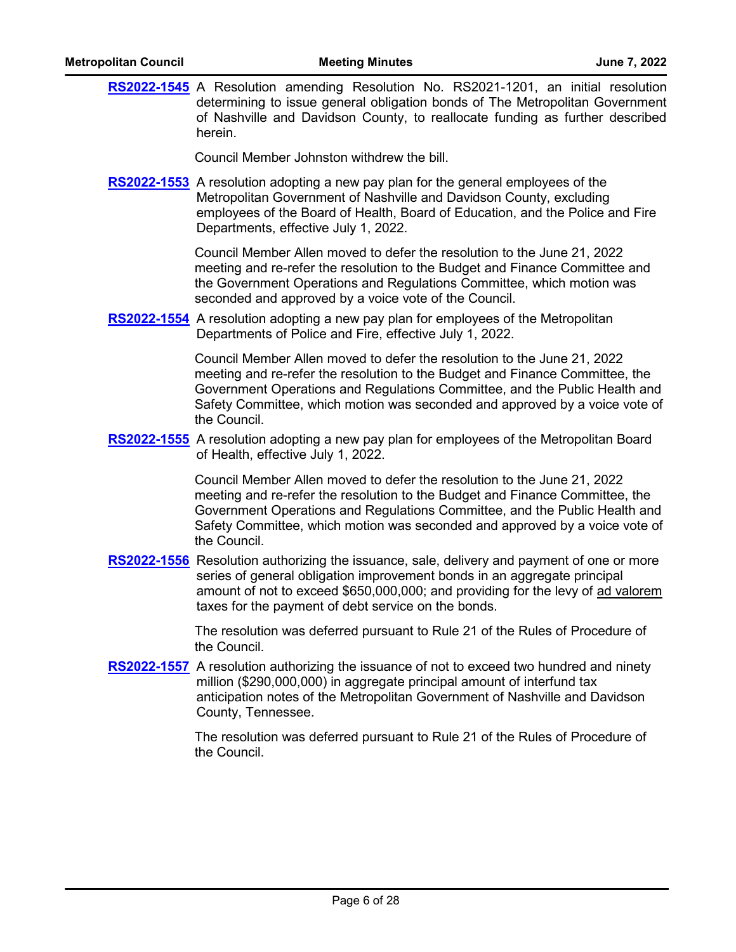| <b>Metropolitan Council</b> | <b>Meeting Minutes</b>                                                                                                                                                                                                                                                                                                               | June 7, 2022 |
|-----------------------------|--------------------------------------------------------------------------------------------------------------------------------------------------------------------------------------------------------------------------------------------------------------------------------------------------------------------------------------|--------------|
|                             | RS2022-1545 A Resolution amending Resolution No. RS2021-1201, an initial resolution<br>determining to issue general obligation bonds of The Metropolitan Government<br>of Nashville and Davidson County, to reallocate funding as further described<br>herein.                                                                       |              |
|                             | Council Member Johnston withdrew the bill.                                                                                                                                                                                                                                                                                           |              |
|                             | RS2022-1553 A resolution adopting a new pay plan for the general employees of the<br>Metropolitan Government of Nashville and Davidson County, excluding<br>employees of the Board of Health, Board of Education, and the Police and Fire<br>Departments, effective July 1, 2022.                                                    |              |
|                             | Council Member Allen moved to defer the resolution to the June 21, 2022<br>meeting and re-refer the resolution to the Budget and Finance Committee and<br>the Government Operations and Regulations Committee, which motion was<br>seconded and approved by a voice vote of the Council.                                             |              |
|                             | <b>RS2022-1554</b> A resolution adopting a new pay plan for employees of the Metropolitan<br>Departments of Police and Fire, effective July 1, 2022.                                                                                                                                                                                 |              |
|                             | Council Member Allen moved to defer the resolution to the June 21, 2022<br>meeting and re-refer the resolution to the Budget and Finance Committee, the<br>Government Operations and Regulations Committee, and the Public Health and<br>Safety Committee, which motion was seconded and approved by a voice vote of<br>the Council. |              |
|                             | RS2022-1555 A resolution adopting a new pay plan for employees of the Metropolitan Board<br>of Health, effective July 1, 2022.                                                                                                                                                                                                       |              |
|                             | Council Member Allen moved to defer the resolution to the June 21, 2022<br>meeting and re-refer the resolution to the Budget and Finance Committee, the<br>Government Operations and Regulations Committee, and the Public Health and<br>Safety Committee, which motion was seconded and approved by a voice vote of<br>the Council. |              |
|                             | RS2022-1556 Resolution authorizing the issuance, sale, delivery and payment of one or more<br>series of general obligation improvement bonds in an aggregate principal<br>amount of not to exceed \$650,000,000; and providing for the levy of ad valorem<br>taxes for the payment of debt service on the bonds.                     |              |
|                             | The resolution was deferred pursuant to Rule 21 of the Rules of Procedure of<br>the Council.                                                                                                                                                                                                                                         |              |
|                             | RS2022-1557 A resolution authorizing the issuance of not to exceed two hundred and ninety<br>million (\$290,000,000) in aggregate principal amount of interfund tax<br>anticipation notes of the Metropolitan Government of Nashville and Davidson<br>County, Tennessee.                                                             |              |
|                             | The resolution was deferred pursuant to Rule 21 of the Rules of Procedure of<br>the Council.                                                                                                                                                                                                                                         |              |
|                             |                                                                                                                                                                                                                                                                                                                                      |              |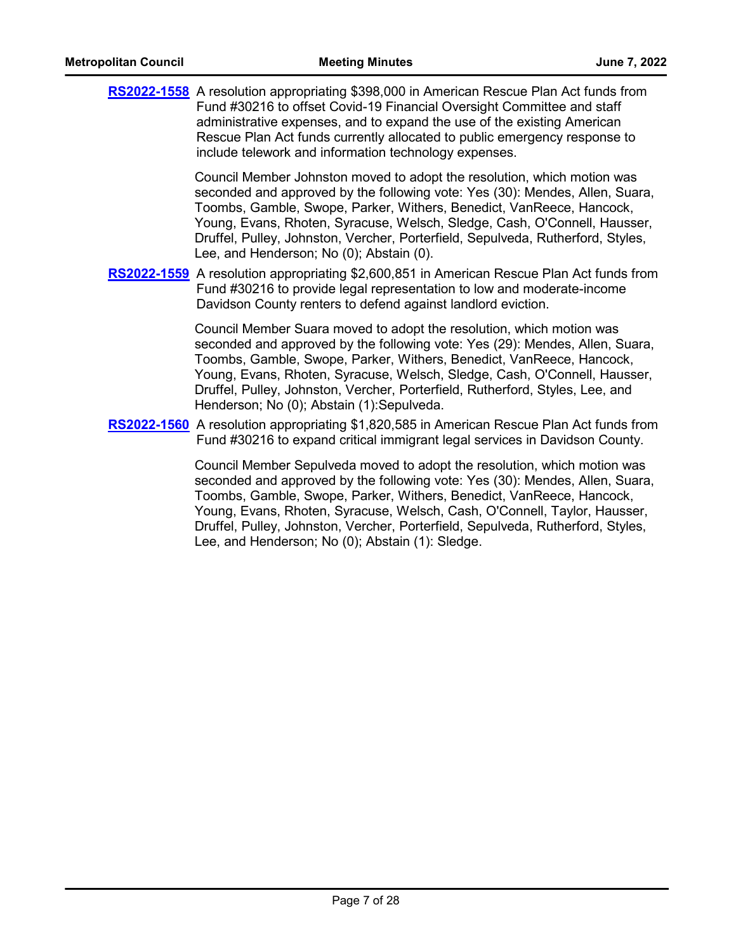| RS2022-1558 A resolution appropriating \$398,000 in American Rescue Plan Act funds from<br>Fund #30216 to offset Covid-19 Financial Oversight Committee and staff<br>administrative expenses, and to expand the use of the existing American<br>Rescue Plan Act funds currently allocated to public emergency response to<br>include telework and information technology expenses.                                                                   |
|------------------------------------------------------------------------------------------------------------------------------------------------------------------------------------------------------------------------------------------------------------------------------------------------------------------------------------------------------------------------------------------------------------------------------------------------------|
| Council Member Johnston moved to adopt the resolution, which motion was<br>seconded and approved by the following vote: Yes (30): Mendes, Allen, Suara,<br>Toombs, Gamble, Swope, Parker, Withers, Benedict, VanReece, Hancock,<br>Young, Evans, Rhoten, Syracuse, Welsch, Sledge, Cash, O'Connell, Hausser,<br>Druffel, Pulley, Johnston, Vercher, Porterfield, Sepulveda, Rutherford, Styles,<br>Lee, and Henderson; No (0); Abstain (0).          |
| RS2022-1559 A resolution appropriating \$2,600,851 in American Rescue Plan Act funds from<br>Fund #30216 to provide legal representation to low and moderate-income<br>Davidson County renters to defend against landlord eviction.                                                                                                                                                                                                                  |
| Council Member Suara moved to adopt the resolution, which motion was<br>seconded and approved by the following vote: Yes (29): Mendes, Allen, Suara,<br>Toombs, Gamble, Swope, Parker, Withers, Benedict, VanReece, Hancock,<br>Young, Evans, Rhoten, Syracuse, Welsch, Sledge, Cash, O'Connell, Hausser,<br>Druffel, Pulley, Johnston, Vercher, Porterfield, Rutherford, Styles, Lee, and<br>Henderson; No (0); Abstain (1): Sepulveda.             |
| RS2022-1560 A resolution appropriating \$1,820,585 in American Rescue Plan Act funds from<br>Fund #30216 to expand critical immigrant legal services in Davidson County.                                                                                                                                                                                                                                                                             |
| Council Member Sepulveda moved to adopt the resolution, which motion was<br>seconded and approved by the following vote: Yes (30): Mendes, Allen, Suara,<br>Toombs, Gamble, Swope, Parker, Withers, Benedict, VanReece, Hancock,<br>Young, Evans, Rhoten, Syracuse, Welsch, Cash, O'Connell, Taylor, Hausser,<br>Druffel, Pulley, Johnston, Vercher, Porterfield, Sepulveda, Rutherford, Styles,<br>Lee, and Henderson; No (0); Abstain (1): Sledge. |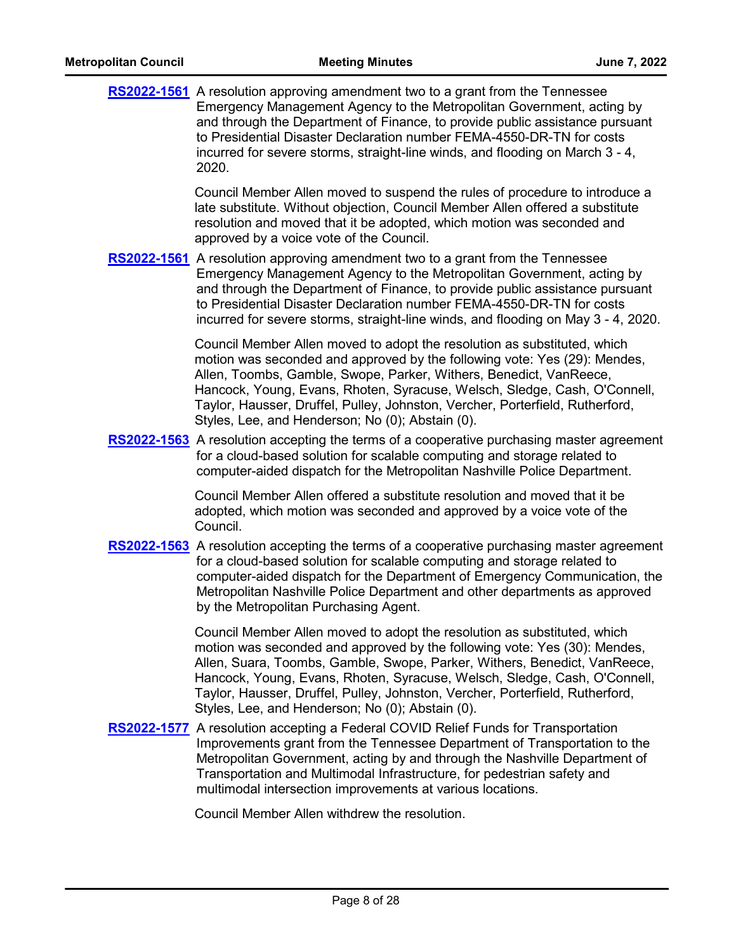|  | <b>RS2022-1561</b> A resolution approving amendment two to a grant from the Tennessee<br>Emergency Management Agency to the Metropolitan Government, acting by<br>and through the Department of Finance, to provide public assistance pursuant<br>to Presidential Disaster Declaration number FEMA-4550-DR-TN for costs<br>incurred for severe storms, straight-line winds, and flooding on March 3 - 4,<br>2020.                                    |
|--|------------------------------------------------------------------------------------------------------------------------------------------------------------------------------------------------------------------------------------------------------------------------------------------------------------------------------------------------------------------------------------------------------------------------------------------------------|
|  | Council Member Allen moved to suspend the rules of procedure to introduce a<br>late substitute. Without objection, Council Member Allen offered a substitute<br>resolution and moved that it be adopted, which motion was seconded and<br>approved by a voice vote of the Council.                                                                                                                                                                   |
|  | RS2022-1561 A resolution approving amendment two to a grant from the Tennessee<br>Emergency Management Agency to the Metropolitan Government, acting by<br>and through the Department of Finance, to provide public assistance pursuant<br>to Presidential Disaster Declaration number FEMA-4550-DR-TN for costs<br>incurred for severe storms, straight-line winds, and flooding on May 3 - 4, 2020.                                                |
|  | Council Member Allen moved to adopt the resolution as substituted, which<br>motion was seconded and approved by the following vote: Yes (29): Mendes,<br>Allen, Toombs, Gamble, Swope, Parker, Withers, Benedict, VanReece,<br>Hancock, Young, Evans, Rhoten, Syracuse, Welsch, Sledge, Cash, O'Connell,<br>Taylor, Hausser, Druffel, Pulley, Johnston, Vercher, Porterfield, Rutherford,<br>Styles, Lee, and Henderson; No (0); Abstain (0).        |
|  | RS2022-1563 A resolution accepting the terms of a cooperative purchasing master agreement<br>for a cloud-based solution for scalable computing and storage related to<br>computer-aided dispatch for the Metropolitan Nashville Police Department.                                                                                                                                                                                                   |
|  | Council Member Allen offered a substitute resolution and moved that it be<br>adopted, which motion was seconded and approved by a voice vote of the<br>Council.                                                                                                                                                                                                                                                                                      |
|  | <b>RS2022-1563</b> A resolution accepting the terms of a cooperative purchasing master agreement<br>for a cloud-based solution for scalable computing and storage related to<br>computer-aided dispatch for the Department of Emergency Communication, the<br>Metropolitan Nashville Police Department and other departments as approved<br>by the Metropolitan Purchasing Agent.                                                                    |
|  | Council Member Allen moved to adopt the resolution as substituted, which<br>motion was seconded and approved by the following vote: Yes (30): Mendes,<br>Allen, Suara, Toombs, Gamble, Swope, Parker, Withers, Benedict, VanReece,<br>Hancock, Young, Evans, Rhoten, Syracuse, Welsch, Sledge, Cash, O'Connell,<br>Taylor, Hausser, Druffel, Pulley, Johnston, Vercher, Porterfield, Rutherford,<br>Styles, Lee, and Henderson; No (0); Abstain (0). |
|  | RS2022-1577 A resolution accepting a Federal COVID Relief Funds for Transportation<br>Improvements grant from the Tennessee Department of Transportation to the<br>Metropolitan Government, acting by and through the Nashville Department of<br>Transportation and Multimodal Infrastructure, for pedestrian safety and<br>multimodal intersection improvements at various locations.                                                               |
|  | Council Member Allen withdrew the resolution.                                                                                                                                                                                                                                                                                                                                                                                                        |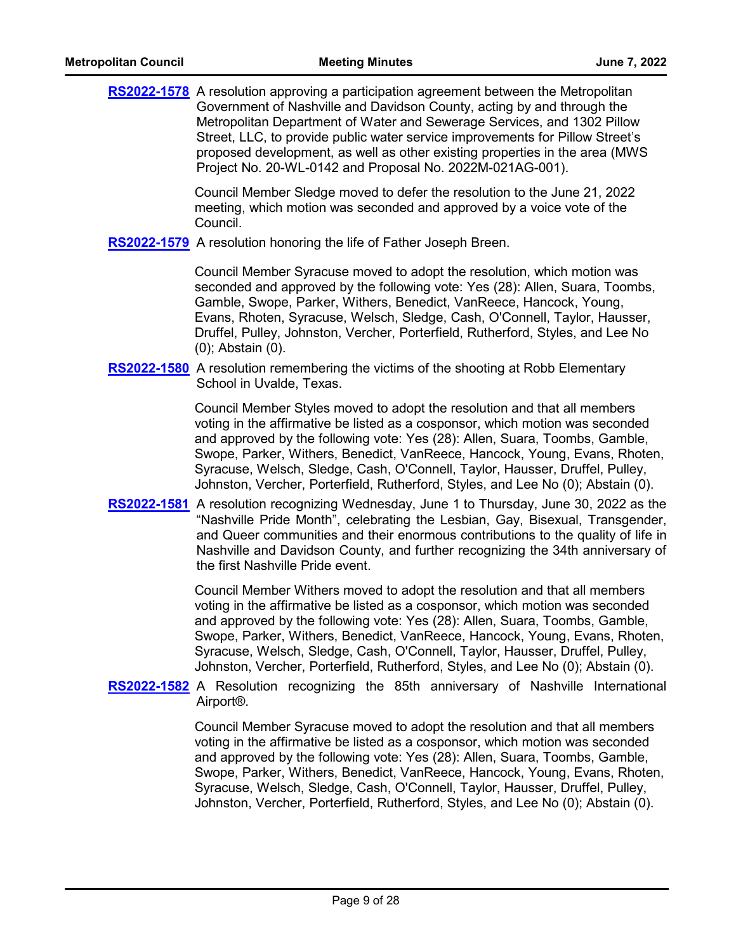|  | <b>RS2022-1578</b> A resolution approving a participation agreement between the Metropolitan<br>Government of Nashville and Davidson County, acting by and through the<br>Metropolitan Department of Water and Sewerage Services, and 1302 Pillow<br>Street, LLC, to provide public water service improvements for Pillow Street's<br>proposed development, as well as other existing properties in the area (MWS<br>Project No. 20-WL-0142 and Proposal No. 2022M-021AG-001).               |
|--|----------------------------------------------------------------------------------------------------------------------------------------------------------------------------------------------------------------------------------------------------------------------------------------------------------------------------------------------------------------------------------------------------------------------------------------------------------------------------------------------|
|  | Council Member Sledge moved to defer the resolution to the June 21, 2022<br>meeting, which motion was seconded and approved by a voice vote of the<br>Council.                                                                                                                                                                                                                                                                                                                               |
|  | RS2022-1579 A resolution honoring the life of Father Joseph Breen.                                                                                                                                                                                                                                                                                                                                                                                                                           |
|  | Council Member Syracuse moved to adopt the resolution, which motion was<br>seconded and approved by the following vote: Yes (28): Allen, Suara, Toombs,<br>Gamble, Swope, Parker, Withers, Benedict, VanReece, Hancock, Young,<br>Evans, Rhoten, Syracuse, Welsch, Sledge, Cash, O'Connell, Taylor, Hausser,<br>Druffel, Pulley, Johnston, Vercher, Porterfield, Rutherford, Styles, and Lee No<br>$(0)$ ; Abstain $(0)$ .                                                                   |
|  | <b>RS2022-1580</b> A resolution remembering the victims of the shooting at Robb Elementary<br>School in Uvalde, Texas.                                                                                                                                                                                                                                                                                                                                                                       |
|  | Council Member Styles moved to adopt the resolution and that all members<br>voting in the affirmative be listed as a cosponsor, which motion was seconded<br>and approved by the following vote: Yes (28): Allen, Suara, Toombs, Gamble,<br>Swope, Parker, Withers, Benedict, VanReece, Hancock, Young, Evans, Rhoten,<br>Syracuse, Welsch, Sledge, Cash, O'Connell, Taylor, Hausser, Druffel, Pulley,<br>Johnston, Vercher, Porterfield, Rutherford, Styles, and Lee No (0); Abstain (0).   |
|  | RS2022-1581 A resolution recognizing Wednesday, June 1 to Thursday, June 30, 2022 as the<br>"Nashville Pride Month", celebrating the Lesbian, Gay, Bisexual, Transgender,<br>and Queer communities and their enormous contributions to the quality of life in<br>Nashville and Davidson County, and further recognizing the 34th anniversary of<br>the first Nashville Pride event.                                                                                                          |
|  | Council Member Withers moved to adopt the resolution and that all members<br>voting in the affirmative be listed as a cosponsor, which motion was seconded<br>and approved by the following vote: Yes (28): Allen, Suara, Toombs, Gamble,<br>Swope, Parker, Withers, Benedict, VanReece, Hancock, Young, Evans, Rhoten,<br>Syracuse, Welsch, Sledge, Cash, O'Connell, Taylor, Hausser, Druffel, Pulley,<br>Johnston, Vercher, Porterfield, Rutherford, Styles, and Lee No (0); Abstain (0).  |
|  | <b>RS2022-1582</b> A Resolution recognizing the 85th anniversary of Nashville International<br>Airport <sup>®</sup> .                                                                                                                                                                                                                                                                                                                                                                        |
|  | Council Member Syracuse moved to adopt the resolution and that all members<br>voting in the affirmative be listed as a cosponsor, which motion was seconded<br>and approved by the following vote: Yes (28): Allen, Suara, Toombs, Gamble,<br>Swope, Parker, Withers, Benedict, VanReece, Hancock, Young, Evans, Rhoten,<br>Syracuse, Welsch, Sledge, Cash, O'Connell, Taylor, Hausser, Druffel, Pulley,<br>Johnston, Vercher, Porterfield, Rutherford, Styles, and Lee No (0); Abstain (0). |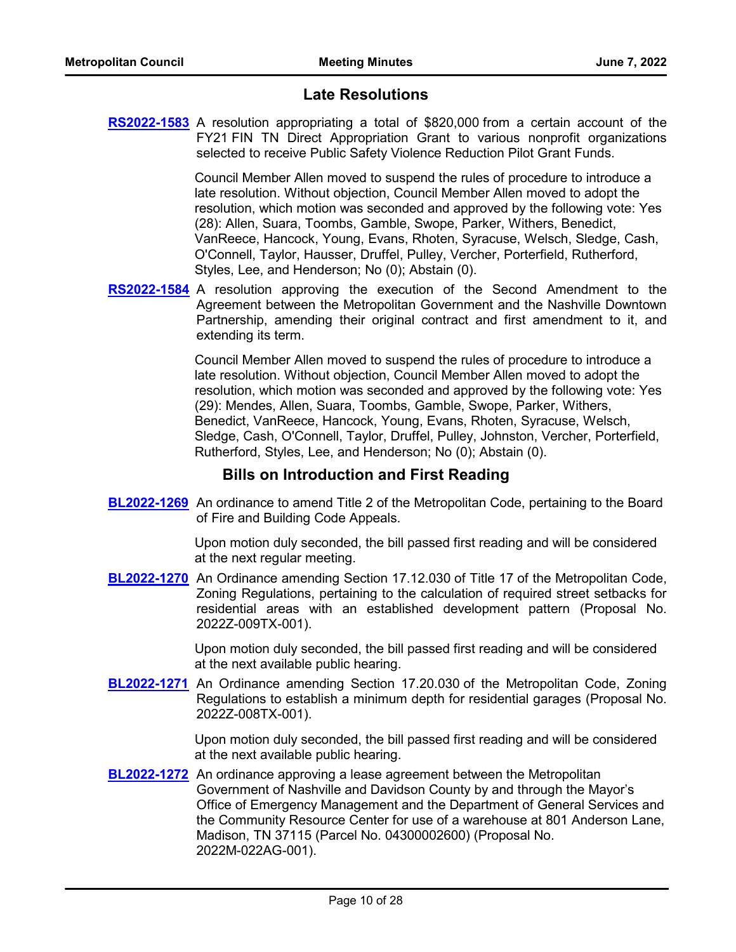# **Late Resolutions**

**[RS2022-1583](http://nashville.legistar.com/gateway.aspx?m=l&id=/matter.aspx?key=14623)** A resolution appropriating a total of \$820,000 from a certain account of the FY21 FIN TN Direct Appropriation Grant to various nonprofit organizations selected to receive Public Safety Violence Reduction Pilot Grant Funds.

> Council Member Allen moved to suspend the rules of procedure to introduce a late resolution. Without objection, Council Member Allen moved to adopt the resolution, which motion was seconded and approved by the following vote: Yes (28): Allen, Suara, Toombs, Gamble, Swope, Parker, Withers, Benedict, VanReece, Hancock, Young, Evans, Rhoten, Syracuse, Welsch, Sledge, Cash, O'Connell, Taylor, Hausser, Druffel, Pulley, Vercher, Porterfield, Rutherford, Styles, Lee, and Henderson; No (0); Abstain (0).

**[RS2022-1584](http://nashville.legistar.com/gateway.aspx?m=l&id=/matter.aspx?key=14624)** A resolution approving the execution of the Second Amendment to the Agreement between the Metropolitan Government and the Nashville Downtown Partnership, amending their original contract and first amendment to it, and extending its term.

> Council Member Allen moved to suspend the rules of procedure to introduce a late resolution. Without objection, Council Member Allen moved to adopt the resolution, which motion was seconded and approved by the following vote: Yes (29): Mendes, Allen, Suara, Toombs, Gamble, Swope, Parker, Withers, Benedict, VanReece, Hancock, Young, Evans, Rhoten, Syracuse, Welsch, Sledge, Cash, O'Connell, Taylor, Druffel, Pulley, Johnston, Vercher, Porterfield, Rutherford, Styles, Lee, and Henderson; No (0); Abstain (0).

## **Bills on Introduction and First Reading**

**[BL2022-1269](http://nashville.legistar.com/gateway.aspx?m=l&id=/matter.aspx?key=14616)** An ordinance to amend Title 2 of the Metropolitan Code, pertaining to the Board of Fire and Building Code Appeals.

> Upon motion duly seconded, the bill passed first reading and will be considered at the next regular meeting.

**[BL2022-1270](http://nashville.legistar.com/gateway.aspx?m=l&id=/matter.aspx?key=14619)** An Ordinance amending Section 17.12.030 of Title 17 of the Metropolitan Code, Zoning Regulations, pertaining to the calculation of required street setbacks for residential areas with an established development pattern (Proposal No. 2022Z-009TX-001).

> Upon motion duly seconded, the bill passed first reading and will be considered at the next available public hearing.

**[BL2022-1271](http://nashville.legistar.com/gateway.aspx?m=l&id=/matter.aspx?key=14620)** An Ordinance amending Section 17.20.030 of the Metropolitan Code, Zoning Regulations to establish a minimum depth for residential garages (Proposal No. 2022Z-008TX-001).

> Upon motion duly seconded, the bill passed first reading and will be considered at the next available public hearing.

**[BL2022-1272](http://nashville.legistar.com/gateway.aspx?m=l&id=/matter.aspx?key=14521)** An ordinance approving a lease agreement between the Metropolitan Government of Nashville and Davidson County by and through the Mayor's Office of Emergency Management and the Department of General Services and the Community Resource Center for use of a warehouse at 801 Anderson Lane, Madison, TN 37115 (Parcel No. 04300002600) (Proposal No. 2022M-022AG-001).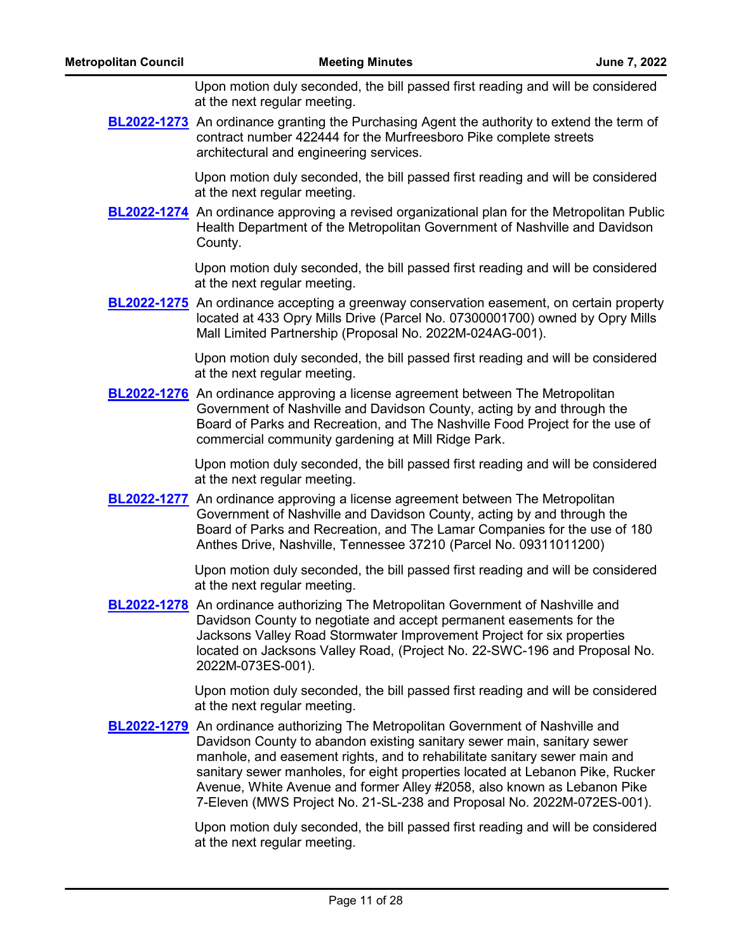Upon motion duly seconded, the bill passed first reading and will be considered at the next regular meeting.

**[BL2022-1273](http://nashville.legistar.com/gateway.aspx?m=l&id=/matter.aspx?key=14583)** An ordinance granting the Purchasing Agent the authority to extend the term of contract number 422444 for the Murfreesboro Pike complete streets architectural and engineering services.

> Upon motion duly seconded, the bill passed first reading and will be considered at the next regular meeting.

**[BL2022-1274](http://nashville.legistar.com/gateway.aspx?m=l&id=/matter.aspx?key=14603)** An ordinance approving a revised organizational plan for the Metropolitan Public Health Department of the Metropolitan Government of Nashville and Davidson County.

> Upon motion duly seconded, the bill passed first reading and will be considered at the next regular meeting.

**[BL2022-1275](http://nashville.legistar.com/gateway.aspx?m=l&id=/matter.aspx?key=14604)** An ordinance accepting a greenway conservation easement, on certain property located at 433 Opry Mills Drive (Parcel No. 07300001700) owned by Opry Mills Mall Limited Partnership (Proposal No. 2022M-024AG-001).

> Upon motion duly seconded, the bill passed first reading and will be considered at the next regular meeting.

**[BL2022-1276](http://nashville.legistar.com/gateway.aspx?m=l&id=/matter.aspx?key=14526)** An ordinance approving a license agreement between The Metropolitan Government of Nashville and Davidson County, acting by and through the Board of Parks and Recreation, and The Nashville Food Project for the use of commercial community gardening at Mill Ridge Park.

> Upon motion duly seconded, the bill passed first reading and will be considered at the next regular meeting.

**[BL2022-1277](http://nashville.legistar.com/gateway.aspx?m=l&id=/matter.aspx?key=14527)** An ordinance approving a license agreement between The Metropolitan Government of Nashville and Davidson County, acting by and through the Board of Parks and Recreation, and The Lamar Companies for the use of 180 Anthes Drive, Nashville, Tennessee 37210 (Parcel No. 09311011200)

> Upon motion duly seconded, the bill passed first reading and will be considered at the next regular meeting.

**[BL2022-1278](http://nashville.legistar.com/gateway.aspx?m=l&id=/matter.aspx?key=14524)** An ordinance authorizing The Metropolitan Government of Nashville and Davidson County to negotiate and accept permanent easements for the Jacksons Valley Road Stormwater Improvement Project for six properties located on Jacksons Valley Road, (Project No. 22-SWC-196 and Proposal No. 2022M-073ES-001).

> Upon motion duly seconded, the bill passed first reading and will be considered at the next regular meeting.

**[BL2022-1279](http://nashville.legistar.com/gateway.aspx?m=l&id=/matter.aspx?key=14522)** An ordinance authorizing The Metropolitan Government of Nashville and Davidson County to abandon existing sanitary sewer main, sanitary sewer manhole, and easement rights, and to rehabilitate sanitary sewer main and sanitary sewer manholes, for eight properties located at Lebanon Pike, Rucker Avenue, White Avenue and former Alley #2058, also known as Lebanon Pike 7-Eleven (MWS Project No. 21-SL-238 and Proposal No. 2022M-072ES-001).

> Upon motion duly seconded, the bill passed first reading and will be considered at the next regular meeting.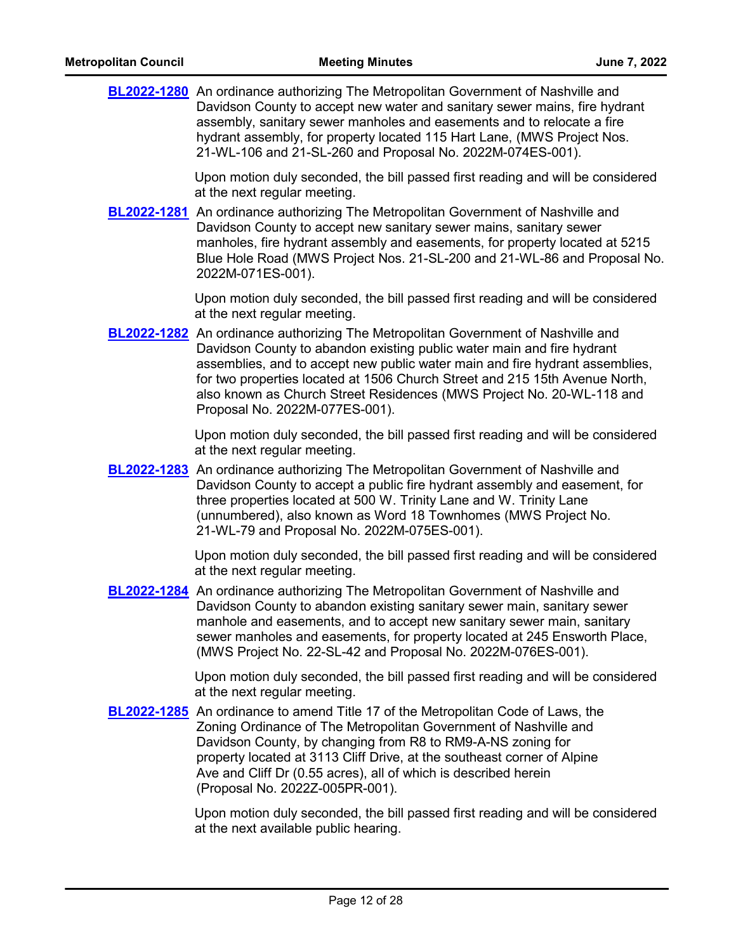| <b>BL2022-1280</b> An ordinance authorizing The Metropolitan Government of Nashville and |
|------------------------------------------------------------------------------------------|
| Davidson County to accept new water and sanitary sewer mains, fire hydrant               |
| assembly, sanitary sewer manholes and easements and to relocate a fire                   |
| hydrant assembly, for property located 115 Hart Lane, (MWS Project Nos.                  |
| 21-WL-106 and 21-SL-260 and Proposal No. 2022M-074ES-001).                               |

Upon motion duly seconded, the bill passed first reading and will be considered at the next regular meeting.

**[BL2022-1281](http://nashville.legistar.com/gateway.aspx?m=l&id=/matter.aspx?key=14525)** An ordinance authorizing The Metropolitan Government of Nashville and Davidson County to accept new sanitary sewer mains, sanitary sewer manholes, fire hydrant assembly and easements, for property located at 5215 Blue Hole Road (MWS Project Nos. 21-SL-200 and 21-WL-86 and Proposal No. 2022M-071ES-001).

> Upon motion duly seconded, the bill passed first reading and will be considered at the next regular meeting.

**[BL2022-1282](http://nashville.legistar.com/gateway.aspx?m=l&id=/matter.aspx?key=14607)** An ordinance authorizing The Metropolitan Government of Nashville and Davidson County to abandon existing public water main and fire hydrant assemblies, and to accept new public water main and fire hydrant assemblies, for two properties located at 1506 Church Street and 215 15th Avenue North, also known as Church Street Residences (MWS Project No. 20-WL-118 and Proposal No. 2022M-077ES-001).

> Upon motion duly seconded, the bill passed first reading and will be considered at the next regular meeting.

**[BL2022-1283](http://nashville.legistar.com/gateway.aspx?m=l&id=/matter.aspx?key=14601)** An ordinance authorizing The Metropolitan Government of Nashville and Davidson County to accept a public fire hydrant assembly and easement, for three properties located at 500 W. Trinity Lane and W. Trinity Lane (unnumbered), also known as Word 18 Townhomes (MWS Project No. 21-WL-79 and Proposal No. 2022M-075ES-001).

> Upon motion duly seconded, the bill passed first reading and will be considered at the next regular meeting.

**[BL2022-1284](http://nashville.legistar.com/gateway.aspx?m=l&id=/matter.aspx?key=14602)** An ordinance authorizing The Metropolitan Government of Nashville and Davidson County to abandon existing sanitary sewer main, sanitary sewer manhole and easements, and to accept new sanitary sewer main, sanitary sewer manholes and easements, for property located at 245 Ensworth Place, (MWS Project No. 22-SL-42 and Proposal No. 2022M-076ES-001).

> Upon motion duly seconded, the bill passed first reading and will be considered at the next regular meeting.

**[BL2022-1285](http://nashville.legistar.com/gateway.aspx?m=l&id=/matter.aspx?key=14559)** An ordinance to amend Title 17 of the Metropolitan Code of Laws, the Zoning Ordinance of The Metropolitan Government of Nashville and Davidson County, by changing from R8 to RM9-A-NS zoning for property located at 3113 Cliff Drive, at the southeast corner of Alpine Ave and Cliff Dr (0.55 acres), all of which is described herein (Proposal No. 2022Z-005PR-001).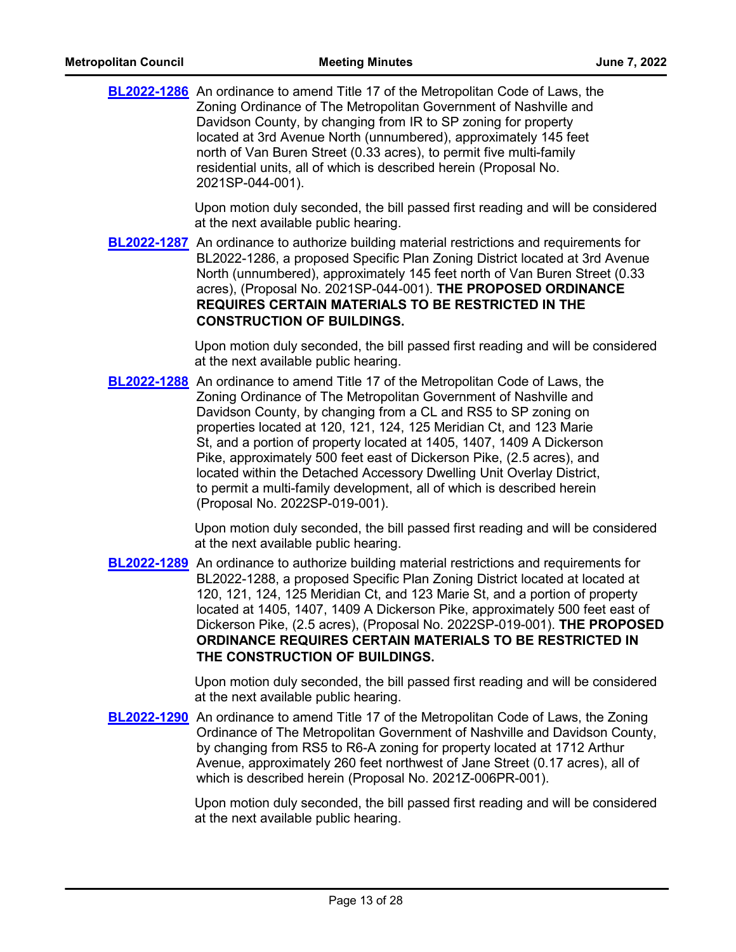| <b>BL2022-1286</b> An ordinance to amend Title 17 of the Metropolitan Code of Laws, the<br>Zoning Ordinance of The Metropolitan Government of Nashville and<br>Davidson County, by changing from IR to SP zoning for property<br>located at 3rd Avenue North (unnumbered), approximately 145 feet<br>north of Van Buren Street (0.33 acres), to permit five multi-family<br>residential units, all of which is described herein (Proposal No.<br>2021SP-044-001).                                                                                                                                                                           |
|---------------------------------------------------------------------------------------------------------------------------------------------------------------------------------------------------------------------------------------------------------------------------------------------------------------------------------------------------------------------------------------------------------------------------------------------------------------------------------------------------------------------------------------------------------------------------------------------------------------------------------------------|
| Upon motion duly seconded, the bill passed first reading and will be considered<br>at the next available public hearing.                                                                                                                                                                                                                                                                                                                                                                                                                                                                                                                    |
| <b>BL2022-1287</b> An ordinance to authorize building material restrictions and requirements for<br>BL2022-1286, a proposed Specific Plan Zoning District located at 3rd Avenue<br>North (unnumbered), approximately 145 feet north of Van Buren Street (0.33<br>acres), (Proposal No. 2021SP-044-001). THE PROPOSED ORDINANCE<br>REQUIRES CERTAIN MATERIALS TO BE RESTRICTED IN THE<br><b>CONSTRUCTION OF BUILDINGS.</b>                                                                                                                                                                                                                   |
| Upon motion duly seconded, the bill passed first reading and will be considered<br>at the next available public hearing.                                                                                                                                                                                                                                                                                                                                                                                                                                                                                                                    |
| <b>BL2022-1288</b> An ordinance to amend Title 17 of the Metropolitan Code of Laws, the<br>Zoning Ordinance of The Metropolitan Government of Nashville and<br>Davidson County, by changing from a CL and RS5 to SP zoning on<br>properties located at 120, 121, 124, 125 Meridian Ct, and 123 Marie<br>St, and a portion of property located at 1405, 1407, 1409 A Dickerson<br>Pike, approximately 500 feet east of Dickerson Pike, (2.5 acres), and<br>located within the Detached Accessory Dwelling Unit Overlay District,<br>to permit a multi-family development, all of which is described herein<br>(Proposal No. 2022SP-019-001). |
| Upon motion duly seconded, the bill passed first reading and will be considered<br>at the next available public hearing.                                                                                                                                                                                                                                                                                                                                                                                                                                                                                                                    |
| <b>BL2022-1289</b> An ordinance to authorize building material restrictions and requirements for<br>BL2022-1288, a proposed Specific Plan Zoning District located at located at<br>120, 121, 124, 125 Meridian Ct, and 123 Marie St, and a portion of property<br>located at 1405, 1407, 1409 A Dickerson Pike, approximately 500 feet east of<br>Dickerson Pike, (2.5 acres), (Proposal No. 2022SP-019-001). THE PROPOSED<br>ORDINANCE REQUIRES CERTAIN MATERIALS TO BE RESTRICTED IN<br>THE CONSTRUCTION OF BUILDINGS.                                                                                                                    |
| Upon motion duly seconded, the bill passed first reading and will be considered<br>at the next available public hearing.                                                                                                                                                                                                                                                                                                                                                                                                                                                                                                                    |
| <b>BL2022-1290</b> An ordinance to amend Title 17 of the Metropolitan Code of Laws, the Zoning<br>Ordinance of The Metropolitan Government of Nashville and Davidson County,<br>by changing from RS5 to R6-A zoning for property located at 1712 Arthur<br>Avenue, approximately 260 feet northwest of Jane Street (0.17 acres), all of<br>which is described herein (Proposal No. 2021Z-006PR-001).                                                                                                                                                                                                                                        |
| Upon motion duly seconded, the bill passed first reading and will be considered                                                                                                                                                                                                                                                                                                                                                                                                                                                                                                                                                             |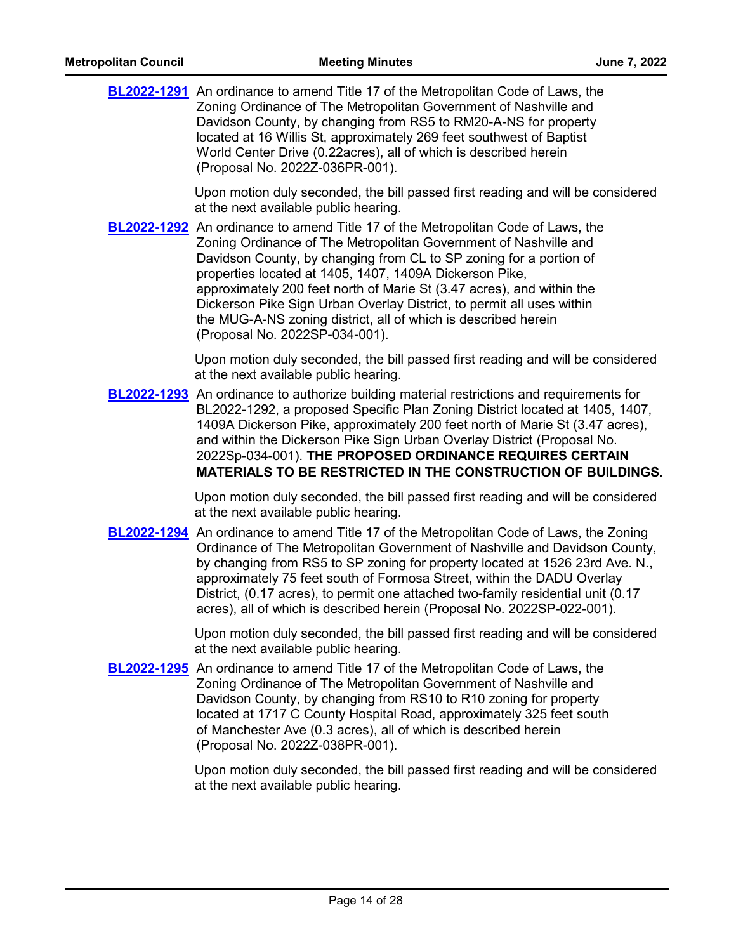| <b>BL2022-1291</b> An ordinance to amend Title 17 of the Metropolitan Code of Laws, the<br>Zoning Ordinance of The Metropolitan Government of Nashville and<br>Davidson County, by changing from RS5 to RM20-A-NS for property<br>located at 16 Willis St, approximately 269 feet southwest of Baptist<br>World Center Drive (0.22acres), all of which is described herein<br>(Proposal No. 2022Z-036PR-001).                                                                                                                                      |
|----------------------------------------------------------------------------------------------------------------------------------------------------------------------------------------------------------------------------------------------------------------------------------------------------------------------------------------------------------------------------------------------------------------------------------------------------------------------------------------------------------------------------------------------------|
| Upon motion duly seconded, the bill passed first reading and will be considered<br>at the next available public hearing.                                                                                                                                                                                                                                                                                                                                                                                                                           |
| <b>BL2022-1292</b> An ordinance to amend Title 17 of the Metropolitan Code of Laws, the<br>Zoning Ordinance of The Metropolitan Government of Nashville and<br>Davidson County, by changing from CL to SP zoning for a portion of<br>properties located at 1405, 1407, 1409A Dickerson Pike,<br>approximately 200 feet north of Marie St (3.47 acres), and within the<br>Dickerson Pike Sign Urban Overlay District, to permit all uses within<br>the MUG-A-NS zoning district, all of which is described herein<br>(Proposal No. 2022SP-034-001). |
| Upon motion duly seconded, the bill passed first reading and will be considered<br>at the next available public hearing.                                                                                                                                                                                                                                                                                                                                                                                                                           |
| <b>BL2022-1293</b> An ordinance to authorize building material restrictions and requirements for<br>BL2022-1292, a proposed Specific Plan Zoning District located at 1405, 1407,<br>1409A Dickerson Pike, approximately 200 feet north of Marie St (3.47 acres),<br>and within the Dickerson Pike Sign Urban Overlay District (Proposal No.<br>2022Sp-034-001). THE PROPOSED ORDINANCE REQUIRES CERTAIN<br><b>MATERIALS TO BE RESTRICTED IN THE CONSTRUCTION OF BUILDINGS.</b>                                                                     |
| Upon motion duly seconded, the bill passed first reading and will be considered<br>at the next available public hearing.                                                                                                                                                                                                                                                                                                                                                                                                                           |
| <b>BL2022-1294</b> An ordinance to amend Title 17 of the Metropolitan Code of Laws, the Zoning<br>Ordinance of The Metropolitan Government of Nashville and Davidson County,<br>by changing from RS5 to SP zoning for property located at 1526 23rd Ave. N.,<br>approximately 75 feet south of Formosa Street, within the DADU Overlay<br>District, (0.17 acres), to permit one attached two-family residential unit (0.17<br>acres), all of which is described herein (Proposal No. 2022SP-022-001).                                              |
| Upon motion duly seconded, the bill passed first reading and will be considered<br>at the next available public hearing.                                                                                                                                                                                                                                                                                                                                                                                                                           |
| <b>BL2022-1295</b> An ordinance to amend Title 17 of the Metropolitan Code of Laws, the<br>Zoning Ordinance of The Metropolitan Government of Nashville and<br>Davidson County, by changing from RS10 to R10 zoning for property<br>located at 1717 C County Hospital Road, approximately 325 feet south<br>of Manchester Ave (0.3 acres), all of which is described herein<br>(Proposal No. 2022Z-038PR-001).                                                                                                                                     |
| Upon motion duly seconded, the bill passed first reading and will be considered<br>at the next available public hearing.                                                                                                                                                                                                                                                                                                                                                                                                                           |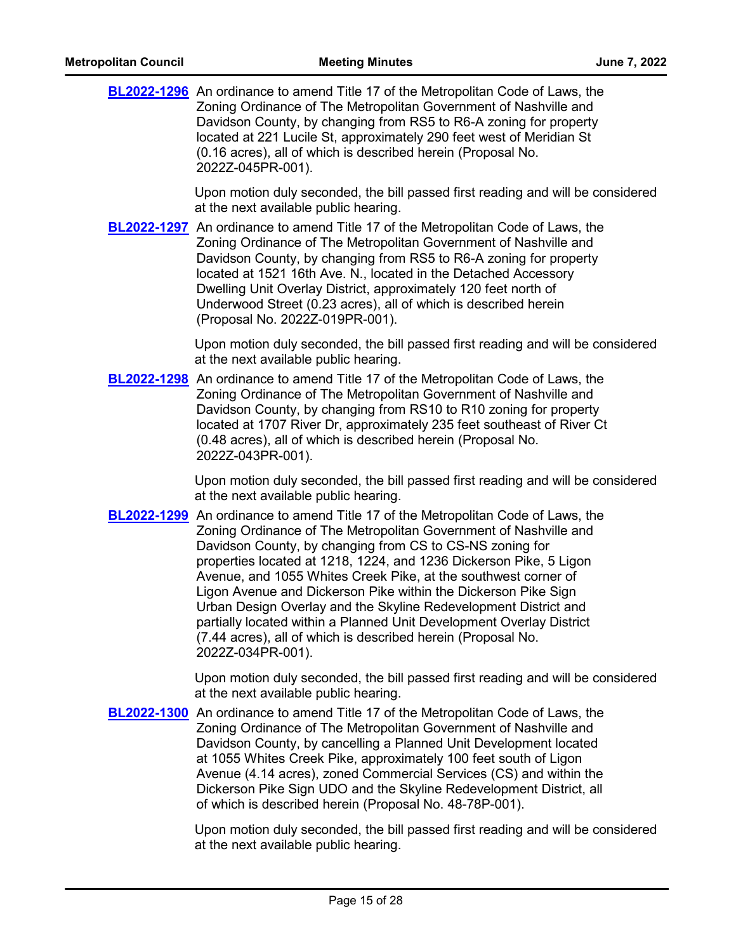|             | <b>BL2022-1296</b> An ordinance to amend Title 17 of the Metropolitan Code of Laws, the<br>Zoning Ordinance of The Metropolitan Government of Nashville and<br>Davidson County, by changing from RS5 to R6-A zoning for property<br>located at 221 Lucile St, approximately 290 feet west of Meridian St<br>(0.16 acres), all of which is described herein (Proposal No.<br>2022Z-045PR-001).                                                                                                                                                                                                                                                                     |
|-------------|-------------------------------------------------------------------------------------------------------------------------------------------------------------------------------------------------------------------------------------------------------------------------------------------------------------------------------------------------------------------------------------------------------------------------------------------------------------------------------------------------------------------------------------------------------------------------------------------------------------------------------------------------------------------|
|             | Upon motion duly seconded, the bill passed first reading and will be considered<br>at the next available public hearing.                                                                                                                                                                                                                                                                                                                                                                                                                                                                                                                                          |
|             | <b>BL2022-1297</b> An ordinance to amend Title 17 of the Metropolitan Code of Laws, the<br>Zoning Ordinance of The Metropolitan Government of Nashville and<br>Davidson County, by changing from RS5 to R6-A zoning for property<br>located at 1521 16th Ave. N., located in the Detached Accessory<br>Dwelling Unit Overlay District, approximately 120 feet north of<br>Underwood Street (0.23 acres), all of which is described herein<br>(Proposal No. 2022Z-019PR-001).                                                                                                                                                                                      |
|             | Upon motion duly seconded, the bill passed first reading and will be considered<br>at the next available public hearing.                                                                                                                                                                                                                                                                                                                                                                                                                                                                                                                                          |
|             | <b>BL2022-1298</b> An ordinance to amend Title 17 of the Metropolitan Code of Laws, the<br>Zoning Ordinance of The Metropolitan Government of Nashville and<br>Davidson County, by changing from RS10 to R10 zoning for property<br>located at 1707 River Dr, approximately 235 feet southeast of River Ct<br>(0.48 acres), all of which is described herein (Proposal No.<br>2022Z-043PR-001).                                                                                                                                                                                                                                                                   |
|             | Upon motion duly seconded, the bill passed first reading and will be considered<br>at the next available public hearing.                                                                                                                                                                                                                                                                                                                                                                                                                                                                                                                                          |
|             | <b>BL2022-1299</b> An ordinance to amend Title 17 of the Metropolitan Code of Laws, the<br>Zoning Ordinance of The Metropolitan Government of Nashville and<br>Davidson County, by changing from CS to CS-NS zoning for<br>properties located at 1218, 1224, and 1236 Dickerson Pike, 5 Ligon<br>Avenue, and 1055 Whites Creek Pike, at the southwest corner of<br>Ligon Avenue and Dickerson Pike within the Dickerson Pike Sign<br>Urban Design Overlay and the Skyline Redevelopment District and<br>partially located within a Planned Unit Development Overlay District<br>(7.44 acres), all of which is described herein (Proposal No.<br>2022Z-034PR-001). |
|             | Upon motion duly seconded, the bill passed first reading and will be considered<br>at the next available public hearing.                                                                                                                                                                                                                                                                                                                                                                                                                                                                                                                                          |
| BL2022-1300 | An ordinance to amend Title 17 of the Metropolitan Code of Laws, the<br>Zoning Ordinance of The Metropolitan Government of Nashville and<br>Davidson County, by cancelling a Planned Unit Development located<br>at 1055 Whites Creek Pike, approximately 100 feet south of Ligon<br>Avenue (4.14 acres), zoned Commercial Services (CS) and within the<br>Dickerson Pike Sign UDO and the Skyline Redevelopment District, all<br>of which is described herein (Proposal No. 48-78P-001).                                                                                                                                                                         |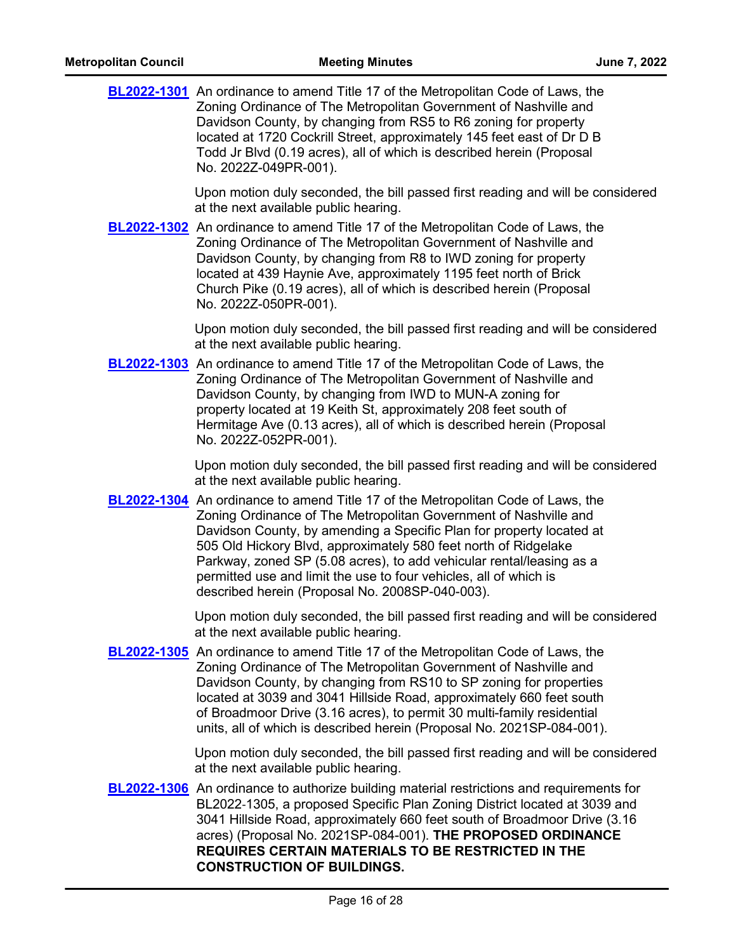| <b>BL2022-1301</b> An ordinance to amend Title 17 of the Metropolitan Code of Laws, the<br>Zoning Ordinance of The Metropolitan Government of Nashville and<br>Davidson County, by changing from RS5 to R6 zoning for property<br>located at 1720 Cockrill Street, approximately 145 feet east of Dr D B<br>Todd Jr Blvd (0.19 acres), all of which is described herein (Proposal<br>No. 2022Z-049PR-001).                                                                                             |
|--------------------------------------------------------------------------------------------------------------------------------------------------------------------------------------------------------------------------------------------------------------------------------------------------------------------------------------------------------------------------------------------------------------------------------------------------------------------------------------------------------|
| Upon motion duly seconded, the bill passed first reading and will be considered<br>at the next available public hearing.                                                                                                                                                                                                                                                                                                                                                                               |
| <b>BL2022-1302</b> An ordinance to amend Title 17 of the Metropolitan Code of Laws, the<br>Zoning Ordinance of The Metropolitan Government of Nashville and<br>Davidson County, by changing from R8 to IWD zoning for property<br>located at 439 Haynie Ave, approximately 1195 feet north of Brick<br>Church Pike (0.19 acres), all of which is described herein (Proposal<br>No. 2022Z-050PR-001).                                                                                                   |
| Upon motion duly seconded, the bill passed first reading and will be considered<br>at the next available public hearing.                                                                                                                                                                                                                                                                                                                                                                               |
| <b>BL2022-1303</b> An ordinance to amend Title 17 of the Metropolitan Code of Laws, the<br>Zoning Ordinance of The Metropolitan Government of Nashville and<br>Davidson County, by changing from IWD to MUN-A zoning for<br>property located at 19 Keith St, approximately 208 feet south of<br>Hermitage Ave (0.13 acres), all of which is described herein (Proposal<br>No. 2022Z-052PR-001).                                                                                                        |
| Upon motion duly seconded, the bill passed first reading and will be considered<br>at the next available public hearing.                                                                                                                                                                                                                                                                                                                                                                               |
| <b>BL2022-1304</b> An ordinance to amend Title 17 of the Metropolitan Code of Laws, the<br>Zoning Ordinance of The Metropolitan Government of Nashville and<br>Davidson County, by amending a Specific Plan for property located at<br>505 Old Hickory Blvd, approximately 580 feet north of Ridgelake<br>Parkway, zoned SP (5.08 acres), to add vehicular rental/leasing as a<br>permitted use and limit the use to four vehicles, all of which is<br>described herein (Proposal No. 2008SP-040-003). |
| Upon motion duly seconded, the bill passed first reading and will be considered<br>at the next available public hearing.                                                                                                                                                                                                                                                                                                                                                                               |
| <b>BL2022-1305</b> An ordinance to amend Title 17 of the Metropolitan Code of Laws, the<br>Zoning Ordinance of The Metropolitan Government of Nashville and<br>Davidson County, by changing from RS10 to SP zoning for properties<br>located at 3039 and 3041 Hillside Road, approximately 660 feet south<br>of Broadmoor Drive (3.16 acres), to permit 30 multi-family residential<br>units, all of which is described herein (Proposal No. 2021SP-084-001).                                          |
| Upon motion duly seconded, the bill passed first reading and will be considered<br>at the next available public hearing.                                                                                                                                                                                                                                                                                                                                                                               |
| <b>BL2022-1306</b> An ordinance to authorize building material restrictions and requirements for<br>BL2022-1305, a proposed Specific Plan Zoning District located at 3039 and<br>3041 Hillside Road, approximately 660 feet south of Broadmoor Drive (3.16<br>acres) (Proposal No. 2021SP-084-001). THE PROPOSED ORDINANCE<br>REQUIRES CERTAIN MATERIALS TO BE RESTRICTED IN THE                                                                                                                       |

**CONSTRUCTION OF BUILDINGS.**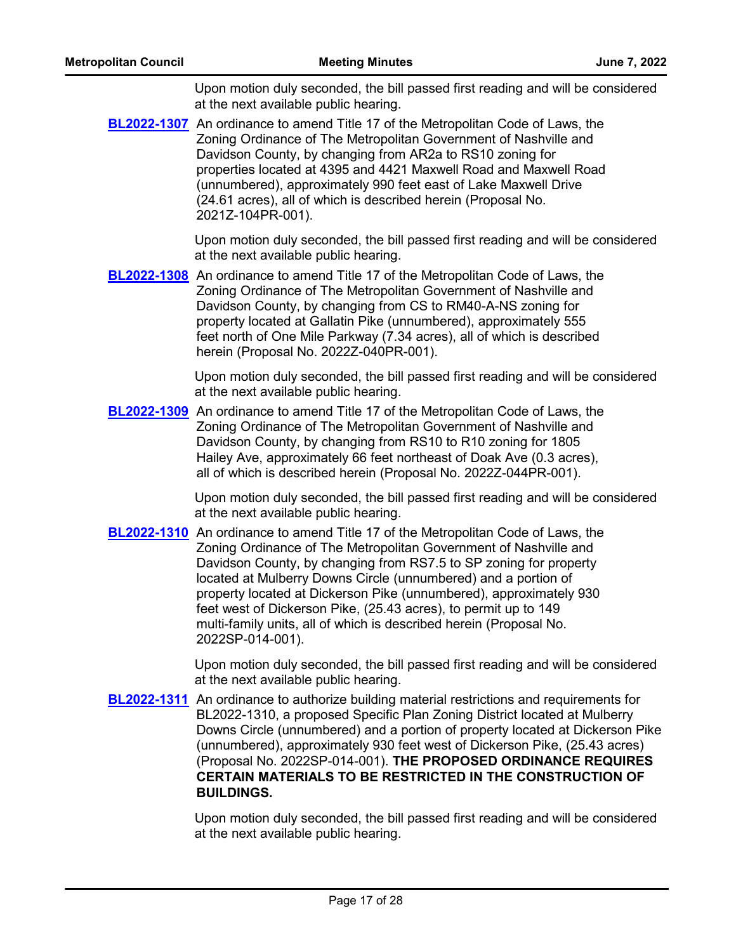**[BL2022-1307](http://nashville.legistar.com/gateway.aspx?m=l&id=/matter.aspx?key=13752)** An ordinance to amend Title 17 of the Metropolitan Code of Laws, the Zoning Ordinance of The Metropolitan Government of Nashville and Davidson County, by changing from AR2a to RS10 zoning for properties located at 4395 and 4421 Maxwell Road and Maxwell Road (unnumbered), approximately 990 feet east of Lake Maxwell Drive (24.61 acres), all of which is described herein (Proposal No. 2021Z-104PR-001).

> Upon motion duly seconded, the bill passed first reading and will be considered at the next available public hearing.

**[BL2022-1308](http://nashville.legistar.com/gateway.aspx?m=l&id=/matter.aspx?key=14553)** An ordinance to amend Title 17 of the Metropolitan Code of Laws, the Zoning Ordinance of The Metropolitan Government of Nashville and Davidson County, by changing from CS to RM40-A-NS zoning for property located at Gallatin Pike (unnumbered), approximately 555 feet north of One Mile Parkway (7.34 acres), all of which is described herein (Proposal No. 2022Z-040PR-001).

> Upon motion duly seconded, the bill passed first reading and will be considered at the next available public hearing.

**[BL2022-1309](http://nashville.legistar.com/gateway.aspx?m=l&id=/matter.aspx?key=14555)** An ordinance to amend Title 17 of the Metropolitan Code of Laws, the Zoning Ordinance of The Metropolitan Government of Nashville and Davidson County, by changing from RS10 to R10 zoning for 1805 Hailey Ave, approximately 66 feet northeast of Doak Ave (0.3 acres), all of which is described herein (Proposal No. 2022Z-044PR-001).

> Upon motion duly seconded, the bill passed first reading and will be considered at the next available public hearing.

**[BL2022-1310](http://nashville.legistar.com/gateway.aspx?m=l&id=/matter.aspx?key=14530)** An ordinance to amend Title 17 of the Metropolitan Code of Laws, the Zoning Ordinance of The Metropolitan Government of Nashville and Davidson County, by changing from RS7.5 to SP zoning for property located at Mulberry Downs Circle (unnumbered) and a portion of property located at Dickerson Pike (unnumbered), approximately 930 feet west of Dickerson Pike, (25.43 acres), to permit up to 149 multi-family units, all of which is described herein (Proposal No. 2022SP-014-001).

> Upon motion duly seconded, the bill passed first reading and will be considered at the next available public hearing.

**[BL2022-1311](http://nashville.legistar.com/gateway.aspx?m=l&id=/matter.aspx?key=14531)** An ordinance to authorize building material restrictions and requirements for BL2022-1310, a proposed Specific Plan Zoning District located at Mulberry Downs Circle (unnumbered) and a portion of property located at Dickerson Pike (unnumbered), approximately 930 feet west of Dickerson Pike, (25.43 acres) (Proposal No. 2022SP-014-001). **THE PROPOSED ORDINANCE REQUIRES CERTAIN MATERIALS TO BE RESTRICTED IN THE CONSTRUCTION OF BUILDINGS.**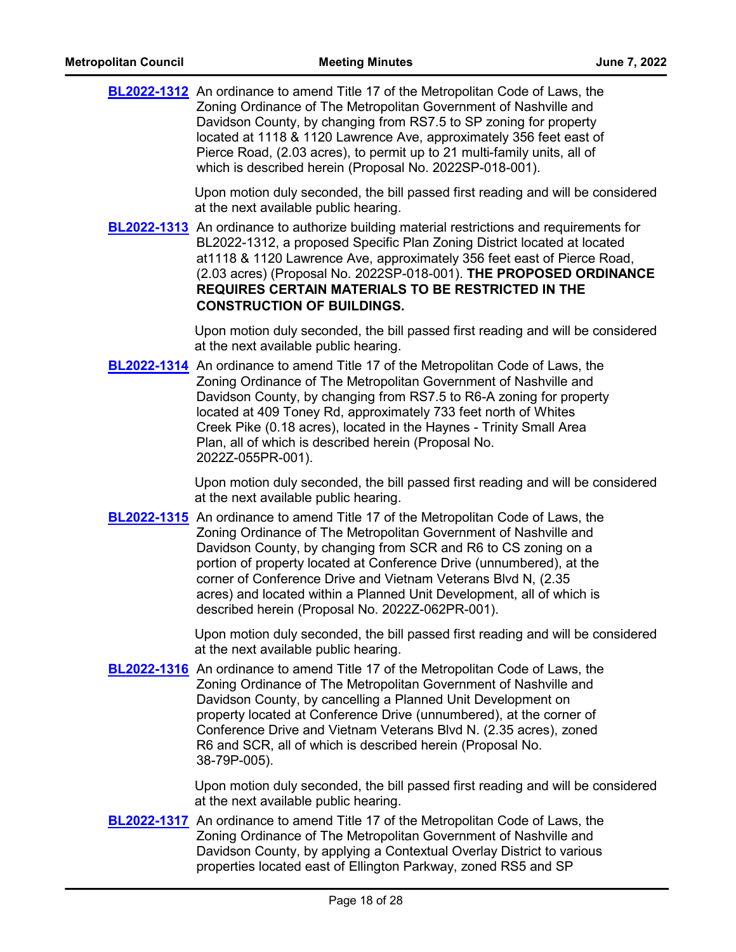| <b>BL2022-1312</b> An ordinance to amend Title 17 of the Metropolitan Code of Laws, the |
|-----------------------------------------------------------------------------------------|
| Zoning Ordinance of The Metropolitan Government of Nashville and                        |
| Davidson County, by changing from RS7.5 to SP zoning for property                       |
| located at 1118 & 1120 Lawrence Ave, approximately 356 feet east of                     |
| Pierce Road, (2.03 acres), to permit up to 21 multi-family units, all of                |
| which is described herein (Proposal No. 2022SP-018-001).                                |
|                                                                                         |

**[BL2022-1313](http://nashville.legistar.com/gateway.aspx?m=l&id=/matter.aspx?key=14539)** An ordinance to authorize building material restrictions and requirements for BL2022-1312, a proposed Specific Plan Zoning District located at located at1118 & 1120 Lawrence Ave, approximately 356 feet east of Pierce Road, (2.03 acres) (Proposal No. 2022SP-018-001). **THE PROPOSED ORDINANCE REQUIRES CERTAIN MATERIALS TO BE RESTRICTED IN THE CONSTRUCTION OF BUILDINGS.**

> Upon motion duly seconded, the bill passed first reading and will be considered at the next available public hearing.

**[BL2022-1314](http://nashville.legistar.com/gateway.aspx?m=l&id=/matter.aspx?key=14572)** An ordinance to amend Title 17 of the Metropolitan Code of Laws, the Zoning Ordinance of The Metropolitan Government of Nashville and Davidson County, by changing from RS7.5 to R6-A zoning for property located at 409 Toney Rd, approximately 733 feet north of Whites Creek Pike (0.18 acres), located in the Haynes - Trinity Small Area Plan, all of which is described herein (Proposal No. 2022Z-055PR-001).

> Upon motion duly seconded, the bill passed first reading and will be considered at the next available public hearing.

**[BL2022-1315](http://nashville.legistar.com/gateway.aspx?m=l&id=/matter.aspx?key=14580)** An ordinance to amend Title 17 of the Metropolitan Code of Laws, the Zoning Ordinance of The Metropolitan Government of Nashville and Davidson County, by changing from SCR and R6 to CS zoning on a portion of property located at Conference Drive (unnumbered), at the corner of Conference Drive and Vietnam Veterans Blvd N, (2.35 acres) and located within a Planned Unit Development, all of which is described herein (Proposal No. 2022Z-062PR-001).

> Upon motion duly seconded, the bill passed first reading and will be considered at the next available public hearing.

**[BL2022-1316](http://nashville.legistar.com/gateway.aspx?m=l&id=/matter.aspx?key=14581)** An ordinance to amend Title 17 of the Metropolitan Code of Laws, the Zoning Ordinance of The Metropolitan Government of Nashville and Davidson County, by cancelling a Planned Unit Development on property located at Conference Drive (unnumbered), at the corner of Conference Drive and Vietnam Veterans Blvd N. (2.35 acres), zoned R6 and SCR, all of which is described herein (Proposal No. 38-79P-005).

> Upon motion duly seconded, the bill passed first reading and will be considered at the next available public hearing.

**[BL2022-1317](http://nashville.legistar.com/gateway.aspx?m=l&id=/matter.aspx?key=14608)** An ordinance to amend Title 17 of the Metropolitan Code of Laws, the Zoning Ordinance of The Metropolitan Government of Nashville and Davidson County, by applying a Contextual Overlay District to various properties located east of Ellington Parkway, zoned RS5 and SP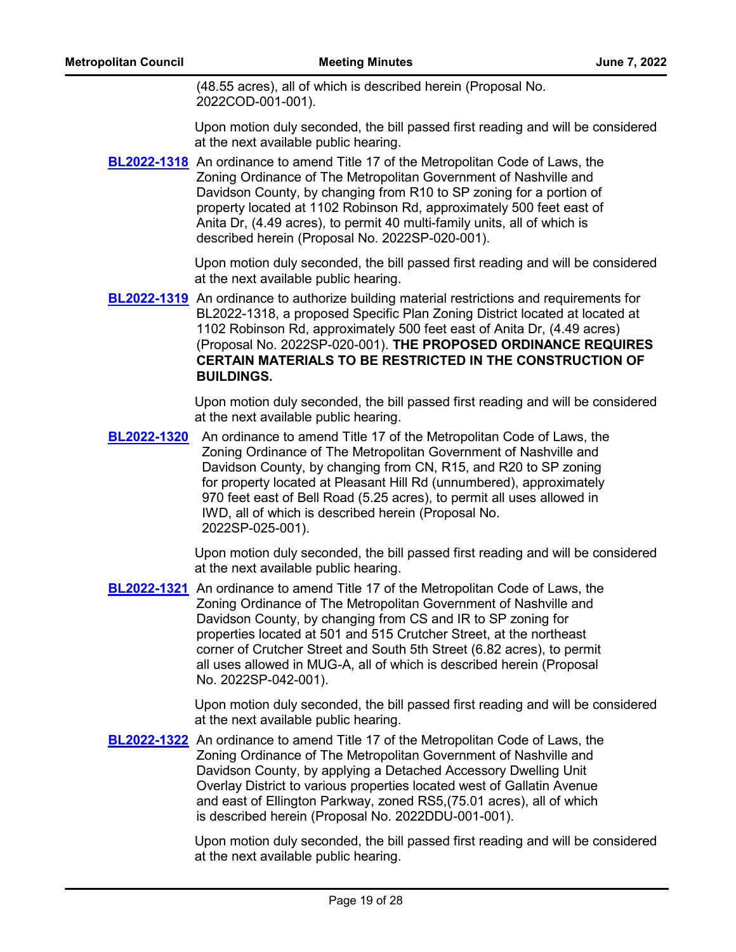(48.55 acres), all of which is described herein (Proposal No. 2022COD-001-001).

Upon motion duly seconded, the bill passed first reading and will be considered at the next available public hearing.

[BL2022-1318](http://nashville.legistar.com/gateway.aspx?m=l&id=/matter.aspx?key=14540) An ordinance to amend Title 17 of the Metropolitan Code of Laws, the Zoning Ordinance of The Metropolitan Government of Nashville and Davidson County, by changing from R10 to SP zoning for a portion of property located at 1102 Robinson Rd, approximately 500 feet east of Anita Dr, (4.49 acres), to permit 40 multi-family units, all of which is described herein (Proposal No. 2022SP-020-001).

> Upon motion duly seconded, the bill passed first reading and will be considered at the next available public hearing.

**[BL2022-1319](http://nashville.legistar.com/gateway.aspx?m=l&id=/matter.aspx?key=14541)** An ordinance to authorize building material restrictions and requirements for BL2022-1318, a proposed Specific Plan Zoning District located at located at 1102 Robinson Rd, approximately 500 feet east of Anita Dr, (4.49 acres) (Proposal No. 2022SP-020-001). **THE PROPOSED ORDINANCE REQUIRES CERTAIN MATERIALS TO BE RESTRICTED IN THE CONSTRUCTION OF BUILDINGS.**

> Upon motion duly seconded, the bill passed first reading and will be considered at the next available public hearing.

**[BL2022-1320](http://nashville.legistar.com/gateway.aspx?m=l&id=/matter.aspx?key=14544)** An ordinance to amend Title 17 of the Metropolitan Code of Laws, the Zoning Ordinance of The Metropolitan Government of Nashville and Davidson County, by changing from CN, R15, and R20 to SP zoning for property located at Pleasant Hill Rd (unnumbered), approximately 970 feet east of Bell Road (5.25 acres), to permit all uses allowed in IWD, all of which is described herein (Proposal No. 2022SP-025-001).

> Upon motion duly seconded, the bill passed first reading and will be considered at the next available public hearing.

**[BL2022-1321](http://nashville.legistar.com/gateway.aspx?m=l&id=/matter.aspx?key=14575)** An ordinance to amend Title 17 of the Metropolitan Code of Laws, the Zoning Ordinance of The Metropolitan Government of Nashville and Davidson County, by changing from CS and IR to SP zoning for properties located at 501 and 515 Crutcher Street, at the northeast corner of Crutcher Street and South 5th Street (6.82 acres), to permit all uses allowed in MUG-A, all of which is described herein (Proposal No. 2022SP-042-001).

> Upon motion duly seconded, the bill passed first reading and will be considered at the next available public hearing.

[BL2022-1322](http://nashville.legistar.com/gateway.aspx?m=l&id=/matter.aspx?key=14609) An ordinance to amend Title 17 of the Metropolitan Code of Laws, the Zoning Ordinance of The Metropolitan Government of Nashville and Davidson County, by applying a Detached Accessory Dwelling Unit Overlay District to various properties located west of Gallatin Avenue and east of Ellington Parkway, zoned RS5,(75.01 acres), all of which is described herein (Proposal No. 2022DDU-001-001).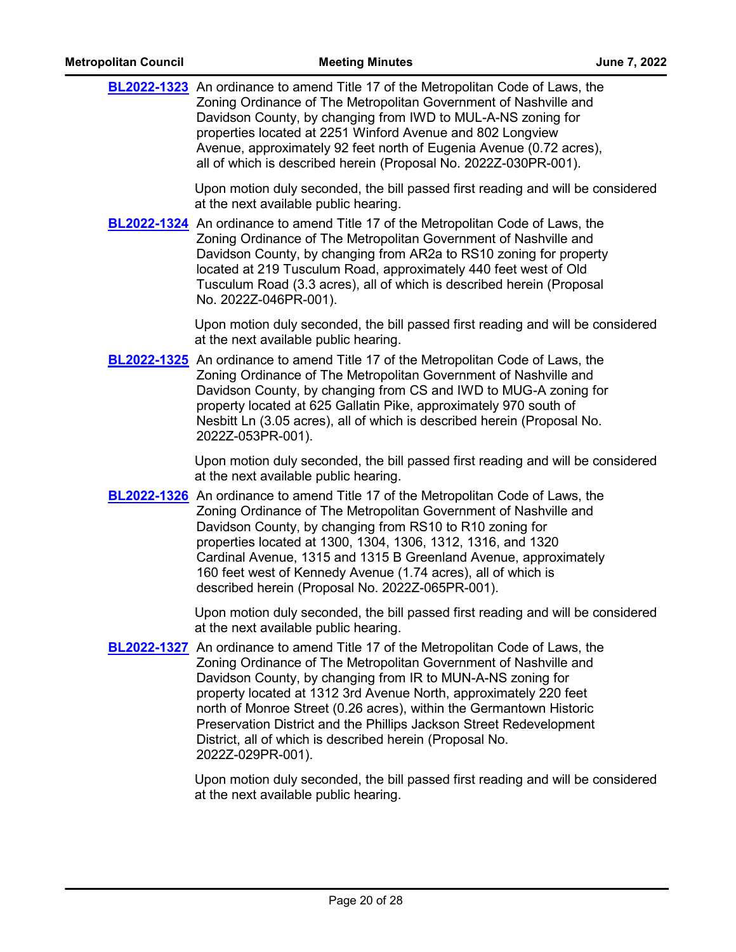| <b>BL2022-1323</b> An ordinance to amend Title 17 of the Metropolitan Code of Laws, the<br>Zoning Ordinance of The Metropolitan Government of Nashville and<br>Davidson County, by changing from IWD to MUL-A-NS zoning for<br>properties located at 2251 Winford Avenue and 802 Longview<br>Avenue, approximately 92 feet north of Eugenia Avenue (0.72 acres),<br>all of which is described herein (Proposal No. 2022Z-030PR-001).                                                                                           |
|--------------------------------------------------------------------------------------------------------------------------------------------------------------------------------------------------------------------------------------------------------------------------------------------------------------------------------------------------------------------------------------------------------------------------------------------------------------------------------------------------------------------------------|
| Upon motion duly seconded, the bill passed first reading and will be considered<br>at the next available public hearing.                                                                                                                                                                                                                                                                                                                                                                                                       |
| <b>BL2022-1324</b> An ordinance to amend Title 17 of the Metropolitan Code of Laws, the<br>Zoning Ordinance of The Metropolitan Government of Nashville and<br>Davidson County, by changing from AR2a to RS10 zoning for property<br>located at 219 Tusculum Road, approximately 440 feet west of Old<br>Tusculum Road (3.3 acres), all of which is described herein (Proposal<br>No. 2022Z-046PR-001).                                                                                                                        |
| Upon motion duly seconded, the bill passed first reading and will be considered<br>at the next available public hearing.                                                                                                                                                                                                                                                                                                                                                                                                       |
| <b>BL2022-1325</b> An ordinance to amend Title 17 of the Metropolitan Code of Laws, the<br>Zoning Ordinance of The Metropolitan Government of Nashville and<br>Davidson County, by changing from CS and IWD to MUG-A zoning for<br>property located at 625 Gallatin Pike, approximately 970 south of<br>Nesbitt Ln (3.05 acres), all of which is described herein (Proposal No.<br>2022Z-053PR-001).                                                                                                                           |
| Upon motion duly seconded, the bill passed first reading and will be considered<br>at the next available public hearing.                                                                                                                                                                                                                                                                                                                                                                                                       |
| <b>BL2022-1326</b> An ordinance to amend Title 17 of the Metropolitan Code of Laws, the<br>Zoning Ordinance of The Metropolitan Government of Nashville and<br>Davidson County, by changing from RS10 to R10 zoning for<br>properties located at 1300, 1304, 1306, 1312, 1316, and 1320<br>Cardinal Avenue, 1315 and 1315 B Greenland Avenue, approximately<br>160 feet west of Kennedy Avenue (1.74 acres), all of which is<br>described herein (Proposal No. 2022Z-065PR-001).                                               |
| Upon motion duly seconded, the bill passed first reading and will be considered<br>at the next available public hearing.                                                                                                                                                                                                                                                                                                                                                                                                       |
| <b>BL2022-1327</b> An ordinance to amend Title 17 of the Metropolitan Code of Laws, the<br>Zoning Ordinance of The Metropolitan Government of Nashville and<br>Davidson County, by changing from IR to MUN-A-NS zoning for<br>property located at 1312 3rd Avenue North, approximately 220 feet<br>north of Monroe Street (0.26 acres), within the Germantown Historic<br>Preservation District and the Phillips Jackson Street Redevelopment<br>District, all of which is described herein (Proposal No.<br>2022Z-029PR-001). |
| Upon motion duly seconded, the bill passed first reading and will be considered<br>at the next available public hearing.                                                                                                                                                                                                                                                                                                                                                                                                       |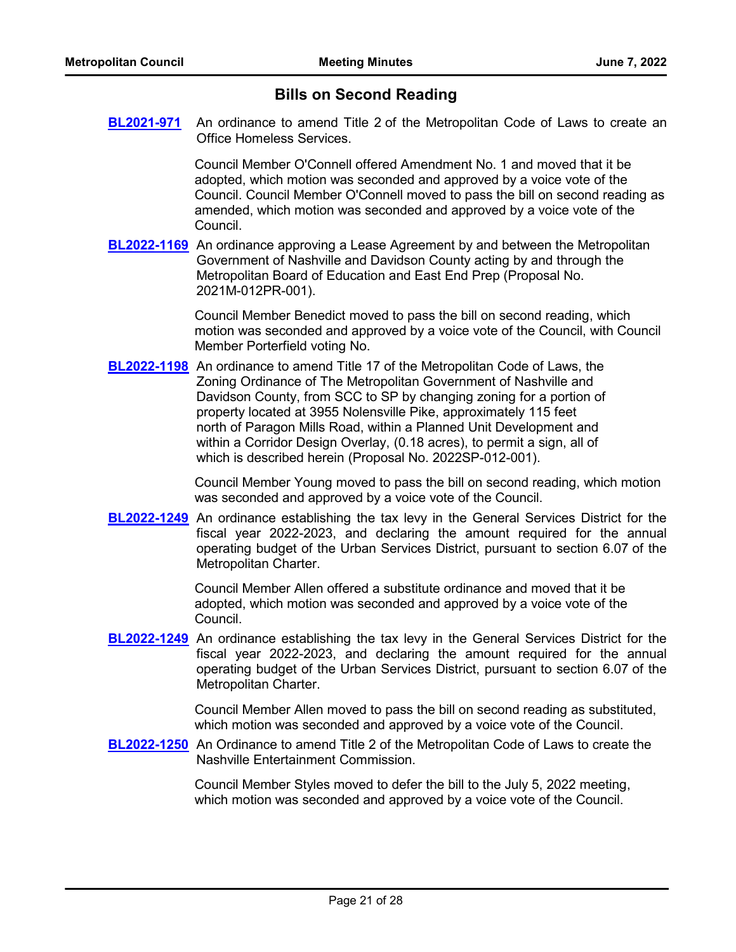# **Bills on Second Reading**

**[BL2021-971](http://nashville.legistar.com/gateway.aspx?m=l&id=/matter.aspx?key=13734)** An ordinance to amend Title 2 of the Metropolitan Code of Laws to create an Office Homeless Services.

> Council Member O'Connell offered Amendment No. 1 and moved that it be adopted, which motion was seconded and approved by a voice vote of the Council. Council Member O'Connell moved to pass the bill on second reading as amended, which motion was seconded and approved by a voice vote of the Council.

**[BL2022-1169](http://nashville.legistar.com/gateway.aspx?m=l&id=/matter.aspx?key=14261)** An ordinance approving a Lease Agreement by and between the Metropolitan Government of Nashville and Davidson County acting by and through the Metropolitan Board of Education and East End Prep (Proposal No. 2021M-012PR-001).

> Council Member Benedict moved to pass the bill on second reading, which motion was seconded and approved by a voice vote of the Council, with Council Member Porterfield voting No.

**[BL2022-1198](http://nashville.legistar.com/gateway.aspx?m=l&id=/matter.aspx?key=14310)** An ordinance to amend Title 17 of the Metropolitan Code of Laws, the Zoning Ordinance of The Metropolitan Government of Nashville and Davidson County, from SCC to SP by changing zoning for a portion of property located at 3955 Nolensville Pike, approximately 115 feet north of Paragon Mills Road, within a Planned Unit Development and within a Corridor Design Overlay, (0.18 acres), to permit a sign, all of which is described herein (Proposal No. 2022SP-012-001).

> Council Member Young moved to pass the bill on second reading, which motion was seconded and approved by a voice vote of the Council.

**[BL2022-1249](http://nashville.legistar.com/gateway.aspx?m=l&id=/matter.aspx?key=14438)** An ordinance establishing the tax levy in the General Services District for the fiscal year 2022-2023, and declaring the amount required for the annual operating budget of the Urban Services District, pursuant to section 6.07 of the Metropolitan Charter.

> Council Member Allen offered a substitute ordinance and moved that it be adopted, which motion was seconded and approved by a voice vote of the Council.

**[BL2022-1249](http://nashville.legistar.com/gateway.aspx?m=l&id=/matter.aspx?key=14438)** An ordinance establishing the tax levy in the General Services District for the fiscal year 2022-2023, and declaring the amount required for the annual operating budget of the Urban Services District, pursuant to section 6.07 of the Metropolitan Charter.

> Council Member Allen moved to pass the bill on second reading as substituted, which motion was seconded and approved by a voice vote of the Council.

**[BL2022-1250](http://nashville.legistar.com/gateway.aspx?m=l&id=/matter.aspx?key=14483)** An Ordinance to amend Title 2 of the Metropolitan Code of Laws to create the Nashville Entertainment Commission.

> Council Member Styles moved to defer the bill to the July 5, 2022 meeting, which motion was seconded and approved by a voice vote of the Council.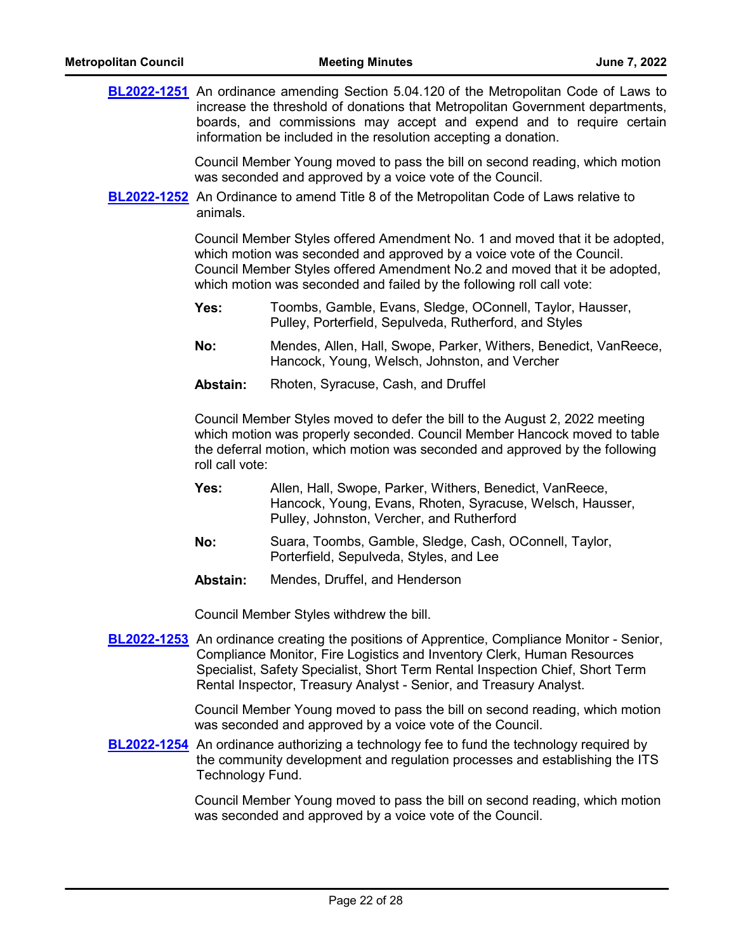|  |                                                                                                                                                                                                                                                                                                                                      | <b>BL2022-1251</b> An ordinance amending Section 5.04.120 of the Metropolitan Code of Laws to<br>increase the threshold of donations that Metropolitan Government departments,<br>boards, and commissions may accept and expend and to require certain<br>information be included in the resolution accepting a donation. |  |
|--|--------------------------------------------------------------------------------------------------------------------------------------------------------------------------------------------------------------------------------------------------------------------------------------------------------------------------------------|---------------------------------------------------------------------------------------------------------------------------------------------------------------------------------------------------------------------------------------------------------------------------------------------------------------------------|--|
|  | Council Member Young moved to pass the bill on second reading, which motion<br>was seconded and approved by a voice vote of the Council.<br><b>BL2022-1252</b> An Ordinance to amend Title 8 of the Metropolitan Code of Laws relative to<br>animals.                                                                                |                                                                                                                                                                                                                                                                                                                           |  |
|  |                                                                                                                                                                                                                                                                                                                                      | Council Member Styles offered Amendment No. 1 and moved that it be adopted,<br>which motion was seconded and approved by a voice vote of the Council.<br>Council Member Styles offered Amendment No.2 and moved that it be adopted,<br>which motion was seconded and failed by the following roll call vote:              |  |
|  | Yes:                                                                                                                                                                                                                                                                                                                                 | Toombs, Gamble, Evans, Sledge, OConnell, Taylor, Hausser,<br>Pulley, Porterfield, Sepulveda, Rutherford, and Styles                                                                                                                                                                                                       |  |
|  | No:                                                                                                                                                                                                                                                                                                                                  | Mendes, Allen, Hall, Swope, Parker, Withers, Benedict, VanReece,<br>Hancock, Young, Welsch, Johnston, and Vercher                                                                                                                                                                                                         |  |
|  | Abstain:                                                                                                                                                                                                                                                                                                                             | Rhoten, Syracuse, Cash, and Druffel                                                                                                                                                                                                                                                                                       |  |
|  | roll call vote:                                                                                                                                                                                                                                                                                                                      | Council Member Styles moved to defer the bill to the August 2, 2022 meeting<br>which motion was properly seconded. Council Member Hancock moved to table<br>the deferral motion, which motion was seconded and approved by the following                                                                                  |  |
|  | Yes:                                                                                                                                                                                                                                                                                                                                 | Allen, Hall, Swope, Parker, Withers, Benedict, VanReece,<br>Hancock, Young, Evans, Rhoten, Syracuse, Welsch, Hausser,<br>Pulley, Johnston, Vercher, and Rutherford                                                                                                                                                        |  |
|  | No:                                                                                                                                                                                                                                                                                                                                  | Suara, Toombs, Gamble, Sledge, Cash, OConnell, Taylor,<br>Porterfield, Sepulveda, Styles, and Lee                                                                                                                                                                                                                         |  |
|  | Abstain:                                                                                                                                                                                                                                                                                                                             | Mendes, Druffel, and Henderson                                                                                                                                                                                                                                                                                            |  |
|  |                                                                                                                                                                                                                                                                                                                                      | Council Member Styles withdrew the bill.                                                                                                                                                                                                                                                                                  |  |
|  | <b>BL2022-1253</b> An ordinance creating the positions of Apprentice, Compliance Monitor - Senior,<br>Compliance Monitor, Fire Logistics and Inventory Clerk, Human Resources<br>Specialist, Safety Specialist, Short Term Rental Inspection Chief, Short Term<br>Rental Inspector, Treasury Analyst - Senior, and Treasury Analyst. |                                                                                                                                                                                                                                                                                                                           |  |
|  |                                                                                                                                                                                                                                                                                                                                      | Council Member Young moved to pass the bill on second reading, which motion<br>was seconded and approved by a voice vote of the Council.                                                                                                                                                                                  |  |
|  | Technology Fund.                                                                                                                                                                                                                                                                                                                     | <b>BL2022-1254</b> An ordinance authorizing a technology fee to fund the technology required by<br>the community development and regulation processes and establishing the ITS                                                                                                                                            |  |
|  |                                                                                                                                                                                                                                                                                                                                      | Council Member Young moved to pass the bill on second reading, which motion<br>was seconded and approved by a voice vote of the Council.                                                                                                                                                                                  |  |
|  |                                                                                                                                                                                                                                                                                                                                      |                                                                                                                                                                                                                                                                                                                           |  |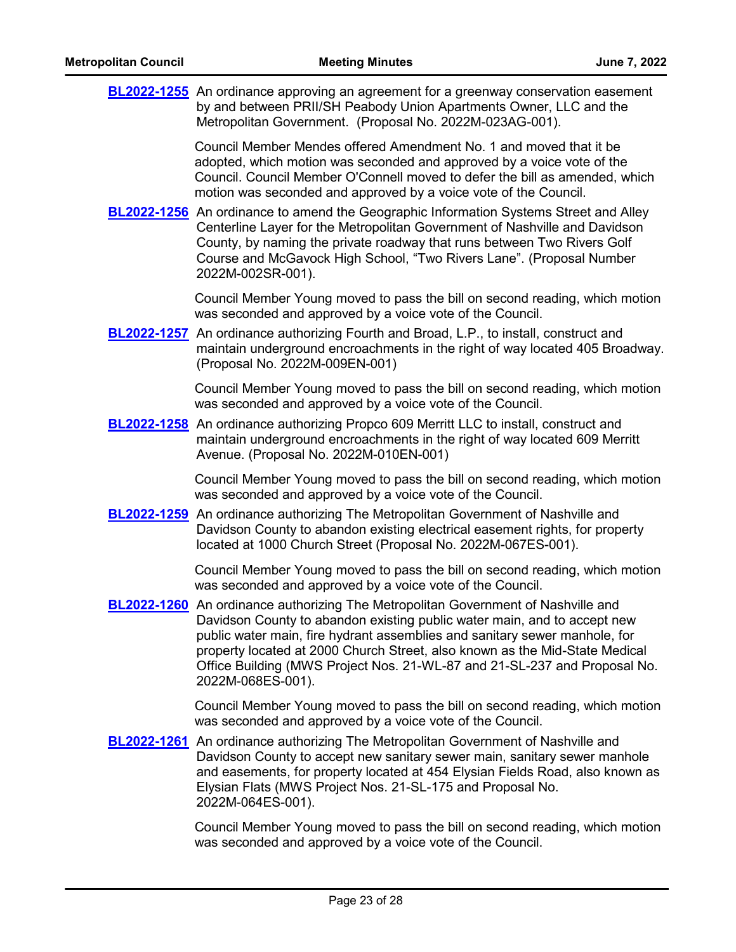| <b>BL2022-1255</b> An ordinance approving an agreement for a greenway conservation easement<br>by and between PRII/SH Peabody Union Apartments Owner, LLC and the<br>Metropolitan Government. (Proposal No. 2022M-023AG-001).                                                                                                                                                                                                       |
|-------------------------------------------------------------------------------------------------------------------------------------------------------------------------------------------------------------------------------------------------------------------------------------------------------------------------------------------------------------------------------------------------------------------------------------|
| Council Member Mendes offered Amendment No. 1 and moved that it be<br>adopted, which motion was seconded and approved by a voice vote of the<br>Council. Council Member O'Connell moved to defer the bill as amended, which<br>motion was seconded and approved by a voice vote of the Council.                                                                                                                                     |
| <b>BL2022-1256</b> An ordinance to amend the Geographic Information Systems Street and Alley<br>Centerline Layer for the Metropolitan Government of Nashville and Davidson<br>County, by naming the private roadway that runs between Two Rivers Golf<br>Course and McGavock High School, "Two Rivers Lane". (Proposal Number<br>2022M-002SR-001).                                                                                  |
| Council Member Young moved to pass the bill on second reading, which motion<br>was seconded and approved by a voice vote of the Council.                                                                                                                                                                                                                                                                                            |
| <b>BL2022-1257</b> An ordinance authorizing Fourth and Broad, L.P., to install, construct and<br>maintain underground encroachments in the right of way located 405 Broadway.<br>(Proposal No. 2022M-009EN-001)                                                                                                                                                                                                                     |
| Council Member Young moved to pass the bill on second reading, which motion<br>was seconded and approved by a voice vote of the Council.                                                                                                                                                                                                                                                                                            |
| BL2022-1258 An ordinance authorizing Propco 609 Merritt LLC to install, construct and<br>maintain underground encroachments in the right of way located 609 Merritt<br>Avenue. (Proposal No. 2022M-010EN-001)                                                                                                                                                                                                                       |
| Council Member Young moved to pass the bill on second reading, which motion<br>was seconded and approved by a voice vote of the Council.                                                                                                                                                                                                                                                                                            |
| <b>BL2022-1259</b> An ordinance authorizing The Metropolitan Government of Nashville and<br>Davidson County to abandon existing electrical easement rights, for property<br>located at 1000 Church Street (Proposal No. 2022M-067ES-001).                                                                                                                                                                                           |
| Council Member Young moved to pass the bill on second reading, which motion<br>was seconded and approved by a voice vote of the Council.                                                                                                                                                                                                                                                                                            |
| <b>BL2022-1260</b> An ordinance authorizing The Metropolitan Government of Nashville and<br>Davidson County to abandon existing public water main, and to accept new<br>public water main, fire hydrant assemblies and sanitary sewer manhole, for<br>property located at 2000 Church Street, also known as the Mid-State Medical<br>Office Building (MWS Project Nos. 21-WL-87 and 21-SL-237 and Proposal No.<br>2022M-068ES-001). |
| Council Member Young moved to pass the bill on second reading, which motion<br>was seconded and approved by a voice vote of the Council.                                                                                                                                                                                                                                                                                            |
| <b>BL2022-1261</b> An ordinance authorizing The Metropolitan Government of Nashville and<br>Davidson County to accept new sanitary sewer main, sanitary sewer manhole<br>and easements, for property located at 454 Elysian Fields Road, also known as<br>Elysian Flats (MWS Project Nos. 21-SL-175 and Proposal No.<br>2022M-064ES-001).                                                                                           |
| Council Member Young moved to pass the bill on second reading which motion                                                                                                                                                                                                                                                                                                                                                          |

Council Member Young moved to pass the bill on second reading, which motion was seconded and approved by a voice vote of the Council.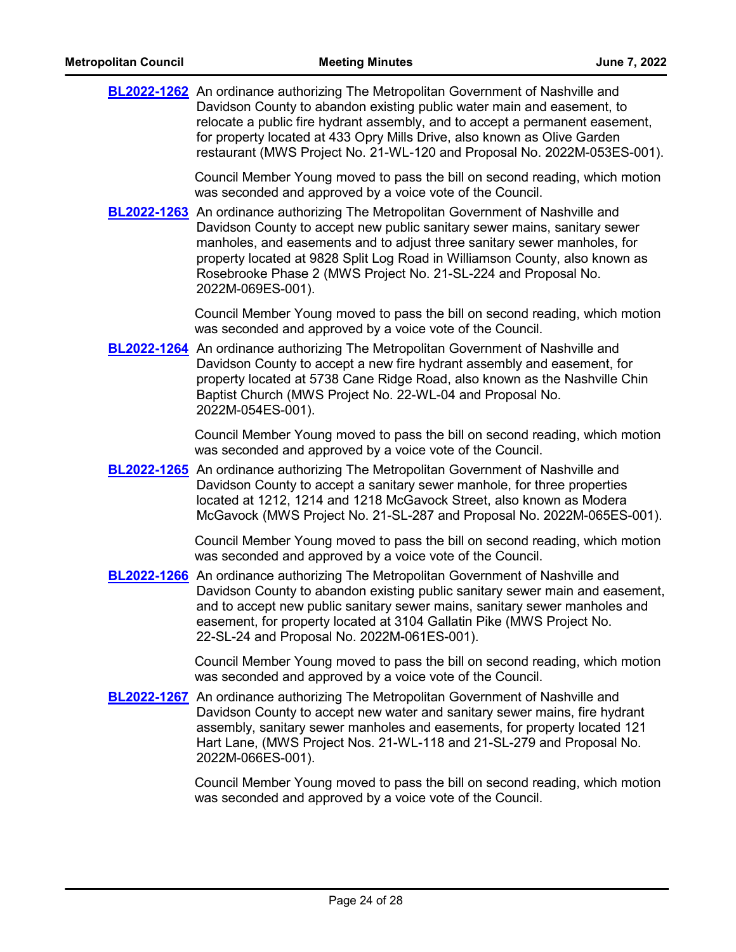| <b>BL2022-1262</b> An ordinance authorizing The Metropolitan Government of Nashville and<br>Davidson County to abandon existing public water main and easement, to<br>relocate a public fire hydrant assembly, and to accept a permanent easement,<br>for property located at 433 Opry Mills Drive, also known as Olive Garden<br>restaurant (MWS Project No. 21-WL-120 and Proposal No. 2022M-053ES-001).              |
|-------------------------------------------------------------------------------------------------------------------------------------------------------------------------------------------------------------------------------------------------------------------------------------------------------------------------------------------------------------------------------------------------------------------------|
| Council Member Young moved to pass the bill on second reading, which motion<br>was seconded and approved by a voice vote of the Council.                                                                                                                                                                                                                                                                                |
| <b>BL2022-1263</b> An ordinance authorizing The Metropolitan Government of Nashville and<br>Davidson County to accept new public sanitary sewer mains, sanitary sewer<br>manholes, and easements and to adjust three sanitary sewer manholes, for<br>property located at 9828 Split Log Road in Williamson County, also known as<br>Rosebrooke Phase 2 (MWS Project No. 21-SL-224 and Proposal No.<br>2022M-069ES-001). |
| Council Member Young moved to pass the bill on second reading, which motion<br>was seconded and approved by a voice vote of the Council.                                                                                                                                                                                                                                                                                |
| <b>BL2022-1264</b> An ordinance authorizing The Metropolitan Government of Nashville and<br>Davidson County to accept a new fire hydrant assembly and easement, for<br>property located at 5738 Cane Ridge Road, also known as the Nashville Chin<br>Baptist Church (MWS Project No. 22-WL-04 and Proposal No.<br>2022M-054ES-001).                                                                                     |
| Council Member Young moved to pass the bill on second reading, which motion<br>was seconded and approved by a voice vote of the Council.                                                                                                                                                                                                                                                                                |
| <b>BL2022-1265</b> An ordinance authorizing The Metropolitan Government of Nashville and<br>Davidson County to accept a sanitary sewer manhole, for three properties<br>located at 1212, 1214 and 1218 McGavock Street, also known as Modera<br>McGavock (MWS Project No. 21-SL-287 and Proposal No. 2022M-065ES-001).                                                                                                  |
| Council Member Young moved to pass the bill on second reading, which motion<br>was seconded and approved by a voice vote of the Council.                                                                                                                                                                                                                                                                                |
| <b>BL2022-1266</b> An ordinance authorizing The Metropolitan Government of Nashville and<br>Davidson County to abandon existing public sanitary sewer main and easement,<br>and to accept new public sanitary sewer mains, sanitary sewer manholes and<br>easement, for property located at 3104 Gallatin Pike (MWS Project No.<br>22-SL-24 and Proposal No. 2022M-061ES-001).                                          |
| Council Member Young moved to pass the bill on second reading, which motion<br>was seconded and approved by a voice vote of the Council.                                                                                                                                                                                                                                                                                |
| <b>BL2022-1267</b> An ordinance authorizing The Metropolitan Government of Nashville and<br>Davidson County to accept new water and sanitary sewer mains, fire hydrant<br>assembly, sanitary sewer manholes and easements, for property located 121<br>Hart Lane, (MWS Project Nos. 21-WL-118 and 21-SL-279 and Proposal No.<br>2022M-066ES-001).                                                                       |
| Council Member Young moved to pass the bill on second reading, which motion<br>was seconded and approved by a voice vote of the Council.                                                                                                                                                                                                                                                                                |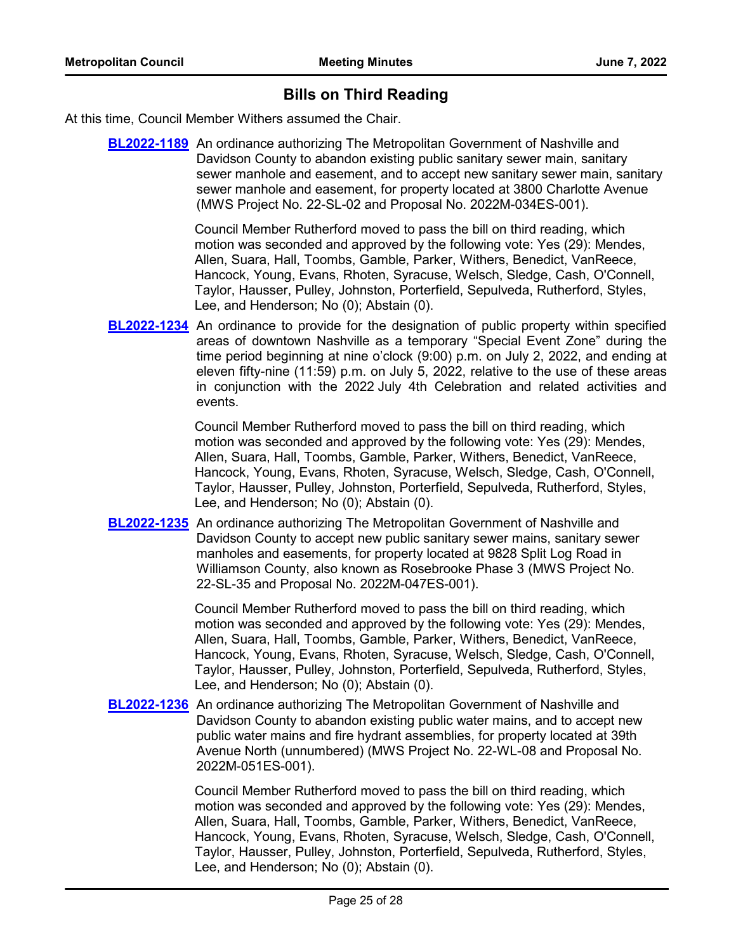# **Bills on Third Reading**

At this time, Council Member Withers assumed the Chair.

**[BL2022-1189](http://nashville.legistar.com/gateway.aspx?m=l&id=/matter.aspx?key=14282)** An ordinance authorizing The Metropolitan Government of Nashville and Davidson County to abandon existing public sanitary sewer main, sanitary sewer manhole and easement, and to accept new sanitary sewer main, sanitary sewer manhole and easement, for property located at 3800 Charlotte Avenue (MWS Project No. 22-SL-02 and Proposal No. 2022M-034ES-001).

> Council Member Rutherford moved to pass the bill on third reading, which motion was seconded and approved by the following vote: Yes (29): Mendes, Allen, Suara, Hall, Toombs, Gamble, Parker, Withers, Benedict, VanReece, Hancock, Young, Evans, Rhoten, Syracuse, Welsch, Sledge, Cash, O'Connell, Taylor, Hausser, Pulley, Johnston, Porterfield, Sepulveda, Rutherford, Styles, Lee, and Henderson; No (0); Abstain (0).

**[BL2022-1234](http://nashville.legistar.com/gateway.aspx?m=l&id=/matter.aspx?key=14433)** An ordinance to provide for the designation of public property within specified areas of downtown Nashville as a temporary "Special Event Zone" during the time period beginning at nine o'clock (9:00) p.m. on July 2, 2022, and ending at eleven fifty-nine (11:59) p.m. on July 5, 2022, relative to the use of these areas in conjunction with the 2022 July 4th Celebration and related activities and events.

> Council Member Rutherford moved to pass the bill on third reading, which motion was seconded and approved by the following vote: Yes (29): Mendes, Allen, Suara, Hall, Toombs, Gamble, Parker, Withers, Benedict, VanReece, Hancock, Young, Evans, Rhoten, Syracuse, Welsch, Sledge, Cash, O'Connell, Taylor, Hausser, Pulley, Johnston, Porterfield, Sepulveda, Rutherford, Styles, Lee, and Henderson; No (0); Abstain (0).

**[BL2022-1235](http://nashville.legistar.com/gateway.aspx?m=l&id=/matter.aspx?key=14406)** An ordinance authorizing The Metropolitan Government of Nashville and Davidson County to accept new public sanitary sewer mains, sanitary sewer manholes and easements, for property located at 9828 Split Log Road in Williamson County, also known as Rosebrooke Phase 3 (MWS Project No. 22-SL-35 and Proposal No. 2022M-047ES-001).

> Council Member Rutherford moved to pass the bill on third reading, which motion was seconded and approved by the following vote: Yes (29): Mendes, Allen, Suara, Hall, Toombs, Gamble, Parker, Withers, Benedict, VanReece, Hancock, Young, Evans, Rhoten, Syracuse, Welsch, Sledge, Cash, O'Connell, Taylor, Hausser, Pulley, Johnston, Porterfield, Sepulveda, Rutherford, Styles, Lee, and Henderson; No (0); Abstain (0).

**[BL2022-1236](http://nashville.legistar.com/gateway.aspx?m=l&id=/matter.aspx?key=14407)** An ordinance authorizing The Metropolitan Government of Nashville and Davidson County to abandon existing public water mains, and to accept new public water mains and fire hydrant assemblies, for property located at 39th Avenue North (unnumbered) (MWS Project No. 22-WL-08 and Proposal No. 2022M-051ES-001).

> Council Member Rutherford moved to pass the bill on third reading, which motion was seconded and approved by the following vote: Yes (29): Mendes, Allen, Suara, Hall, Toombs, Gamble, Parker, Withers, Benedict, VanReece, Hancock, Young, Evans, Rhoten, Syracuse, Welsch, Sledge, Cash, O'Connell, Taylor, Hausser, Pulley, Johnston, Porterfield, Sepulveda, Rutherford, Styles, Lee, and Henderson; No (0); Abstain (0).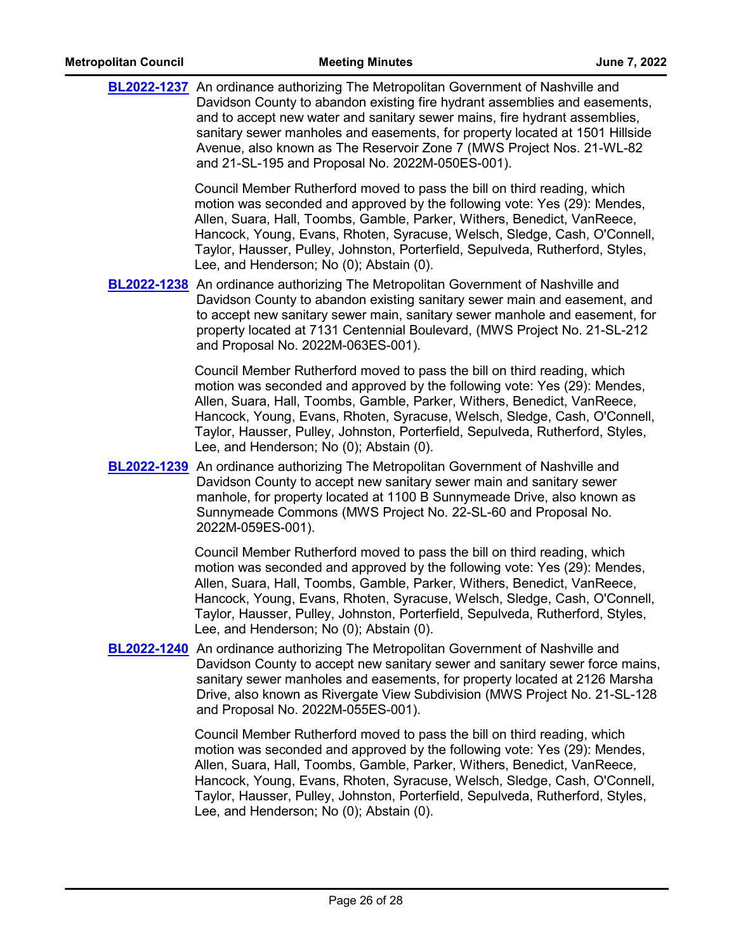|  | <b>BL2022-1237</b> An ordinance authorizing The Metropolitan Government of Nashville and<br>Davidson County to abandon existing fire hydrant assemblies and easements,<br>and to accept new water and sanitary sewer mains, fire hydrant assemblies,<br>sanitary sewer manholes and easements, for property located at 1501 Hillside<br>Avenue, also known as The Reservoir Zone 7 (MWS Project Nos. 21-WL-82<br>and 21-SL-195 and Proposal No. 2022M-050ES-001). |
|--|-------------------------------------------------------------------------------------------------------------------------------------------------------------------------------------------------------------------------------------------------------------------------------------------------------------------------------------------------------------------------------------------------------------------------------------------------------------------|
|  | Council Member Rutherford moved to pass the bill on third reading, which<br>motion was seconded and approved by the following vote: Yes (29): Mendes,<br>Allen, Suara, Hall, Toombs, Gamble, Parker, Withers, Benedict, VanReece,<br>Hancock, Young, Evans, Rhoten, Syracuse, Welsch, Sledge, Cash, O'Connell,<br>Taylor, Hausser, Pulley, Johnston, Porterfield, Sepulveda, Rutherford, Styles,<br>Lee, and Henderson; No (0); Abstain (0).                      |
|  | <b>BL2022-1238</b> An ordinance authorizing The Metropolitan Government of Nashville and<br>Davidson County to abandon existing sanitary sewer main and easement, and<br>to accept new sanitary sewer main, sanitary sewer manhole and easement, for<br>property located at 7131 Centennial Boulevard, (MWS Project No. 21-SL-212<br>and Proposal No. 2022M-063ES-001).                                                                                           |
|  | Council Member Rutherford moved to pass the bill on third reading, which<br>motion was seconded and approved by the following vote: Yes (29): Mendes,<br>Allen, Suara, Hall, Toombs, Gamble, Parker, Withers, Benedict, VanReece,<br>Hancock, Young, Evans, Rhoten, Syracuse, Welsch, Sledge, Cash, O'Connell,<br>Taylor, Hausser, Pulley, Johnston, Porterfield, Sepulveda, Rutherford, Styles,<br>Lee, and Henderson; No (0); Abstain (0).                      |
|  | <b>BL2022-1239</b> An ordinance authorizing The Metropolitan Government of Nashville and<br>Davidson County to accept new sanitary sewer main and sanitary sewer<br>manhole, for property located at 1100 B Sunnymeade Drive, also known as<br>Sunnymeade Commons (MWS Project No. 22-SL-60 and Proposal No.<br>2022M-059ES-001).                                                                                                                                 |
|  | Council Member Rutherford moved to pass the bill on third reading, which<br>motion was seconded and approved by the following vote: Yes (29): Mendes,<br>Allen, Suara, Hall, Toombs, Gamble, Parker, Withers, Benedict, VanReece,<br>Hancock, Young, Evans, Rhoten, Syracuse, Welsch, Sledge, Cash, O'Connell,<br>Taylor, Hausser, Pulley, Johnston, Porterfield, Sepulveda, Rutherford, Styles,<br>Lee, and Henderson; No (0); Abstain (0).                      |
|  | <b>BL2022-1240</b> An ordinance authorizing The Metropolitan Government of Nashville and<br>Davidson County to accept new sanitary sewer and sanitary sewer force mains,<br>sanitary sewer manholes and easements, for property located at 2126 Marsha<br>Drive, also known as Rivergate View Subdivision (MWS Project No. 21-SL-128)<br>and Proposal No. 2022M-055ES-001).                                                                                       |
|  | Council Member Rutherford moved to pass the bill on third reading, which<br>motion was seconded and approved by the following vote: Yes (29): Mendes,<br>Allen, Suara, Hall, Toombs, Gamble, Parker, Withers, Benedict, VanReece,<br>Hancock, Young, Evans, Rhoten, Syracuse, Welsch, Sledge, Cash, O'Connell,<br>Taylor, Hausser, Pulley, Johnston, Porterfield, Sepulveda, Rutherford, Styles,                                                                  |

Lee, and Henderson; No (0); Abstain (0).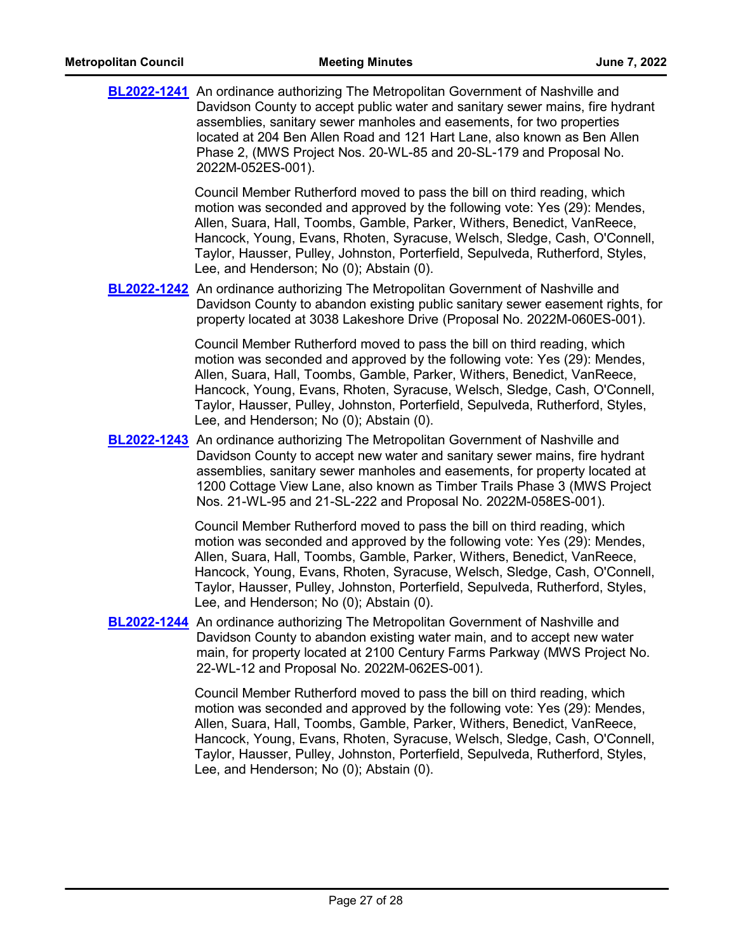| <b>Metropolitan Council</b> | <b>Meeting Minutes</b>                                                                                                                                                                                                                                                                                                                                                                                                                       | June 7, 2022 |
|-----------------------------|----------------------------------------------------------------------------------------------------------------------------------------------------------------------------------------------------------------------------------------------------------------------------------------------------------------------------------------------------------------------------------------------------------------------------------------------|--------------|
|                             | <b>BL2022-1241</b> An ordinance authorizing The Metropolitan Government of Nashville and<br>Davidson County to accept public water and sanitary sewer mains, fire hydrant<br>assemblies, sanitary sewer manholes and easements, for two properties<br>located at 204 Ben Allen Road and 121 Hart Lane, also known as Ben Allen<br>Phase 2, (MWS Project Nos. 20-WL-85 and 20-SL-179 and Proposal No.<br>2022M-052ES-001).                    |              |
|                             | Council Member Rutherford moved to pass the bill on third reading, which<br>motion was seconded and approved by the following vote: Yes (29): Mendes,<br>Allen, Suara, Hall, Toombs, Gamble, Parker, Withers, Benedict, VanReece,<br>Hancock, Young, Evans, Rhoten, Syracuse, Welsch, Sledge, Cash, O'Connell,<br>Taylor, Hausser, Pulley, Johnston, Porterfield, Sepulveda, Rutherford, Styles,<br>Lee, and Henderson; No (0); Abstain (0). |              |
|                             | <b>BL2022-1242</b> An ordinance authorizing The Metropolitan Government of Nashville and<br>Davidson County to abandon existing public sanitary sewer easement rights, for<br>property located at 3038 Lakeshore Drive (Proposal No. 2022M-060ES-001).                                                                                                                                                                                       |              |
|                             | Council Member Rutherford moved to pass the bill on third reading, which<br>motion was seconded and approved by the following vote: Yes (29): Mendes,<br>Allen, Suara, Hall, Toombs, Gamble, Parker, Withers, Benedict, VanReece,<br>Hancock, Young, Evans, Rhoten, Syracuse, Welsch, Sledge, Cash, O'Connell,<br>Taylor, Hausser, Pulley, Johnston, Porterfield, Sepulveda, Rutherford, Styles,<br>Lee, and Henderson; No (0); Abstain (0). |              |
|                             | <b>BL2022-1243</b> An ordinance authorizing The Metropolitan Government of Nashville and<br>Davidson County to accept new water and sanitary sewer mains, fire hydrant<br>assemblies, sanitary sewer manholes and easements, for property located at<br>1200 Cottage View Lane, also known as Timber Trails Phase 3 (MWS Project<br>Nos. 21-WL-95 and 21-SL-222 and Proposal No. 2022M-058ES-001).                                           |              |
|                             | Council Member Rutherford moved to pass the bill on third reading, which<br>motion was seconded and approved by the following vote: Yes (29): Mendes,<br>Allen, Suara, Hall, Toombs, Gamble, Parker, Withers, Benedict, VanReece,<br>Hancock, Young, Evans, Rhoten, Syracuse, Welsch, Sledge, Cash, O'Connell,<br>Taylor, Hausser, Pulley, Johnston, Porterfield, Sepulveda, Rutherford, Styles,<br>Lee, and Henderson; No (0); Abstain (0). |              |
|                             | <b>BL2022-1244</b> An ordinance authorizing The Metropolitan Government of Nashville and<br>Davidson County to abandon existing water main, and to accept new water<br>main, for property located at 2100 Century Farms Parkway (MWS Project No.<br>22-WL-12 and Proposal No. 2022M-062ES-001).                                                                                                                                              |              |
|                             | Council Member Rutherford moved to pass the bill on third reading, which<br>motion was seconded and approved by the following vote: Yes (29): Mendes,<br>Allen, Suara, Hall, Toombs, Gamble, Parker, Withers, Benedict, VanReece,<br>Hancock, Young, Evans, Rhoten, Syracuse, Welsch, Sledge, Cash, O'Connell,<br>Taylor, Hausser, Pulley, Johnston, Porterfield, Sepulveda, Rutherford, Styles,<br>Lee, and Henderson; No (0); Abstain (0). |              |
|                             |                                                                                                                                                                                                                                                                                                                                                                                                                                              |              |